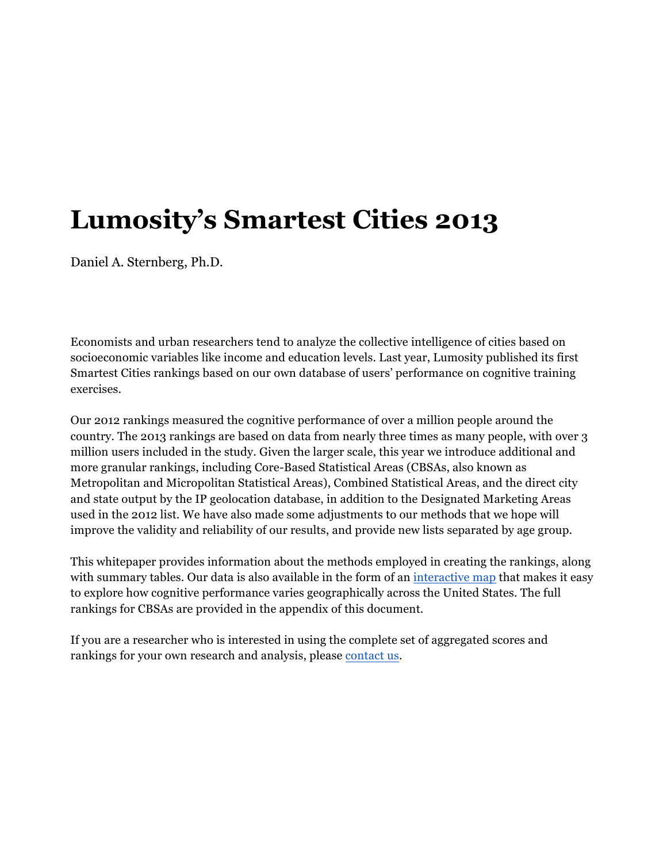# **Lumosity's Smartest Cities 2013**

Daniel A. Sternberg, Ph.D.

Economists and urban researchers tend to analyze the collective intelligence of cities based on socioeconomic variables like income and education levels. Last year, Lumosity published its first Smartest Cities rankings based on our own database of users' performance on cognitive training exercises.

Our 2012 rankings measured the cognitive performance of over a million people around the country. The 2013 rankings are based on data from nearly three times as many people, with over 3 million users included in the study. Given the larger scale, this year we introduce additional and more granular rankings, including Core-Based Statistical Areas (CBSAs, also known as Metropolitan and Micropolitan Statistical Areas), Combined Statistical Areas, and the direct city and state output by the IP geolocation database, in addition to the Designated Marketing Areas used in the 2012 list. We have also made some adjustments to our methods that we hope will improve the validity and reliability of our results, and provide new lists separated by age group.

This whitepaper provides information about the methods employed in creating the rankings, along with summary tables. Our data is also available in the form of an interactive map that makes it easy to explore how cognitive performance varies geographically across the United States. The full rankings for CBSAs are provided in the appendix of this document.

If you are a researcher who is interested in using the complete set of aggregated scores and rankings for your own research and analysis, please contact us.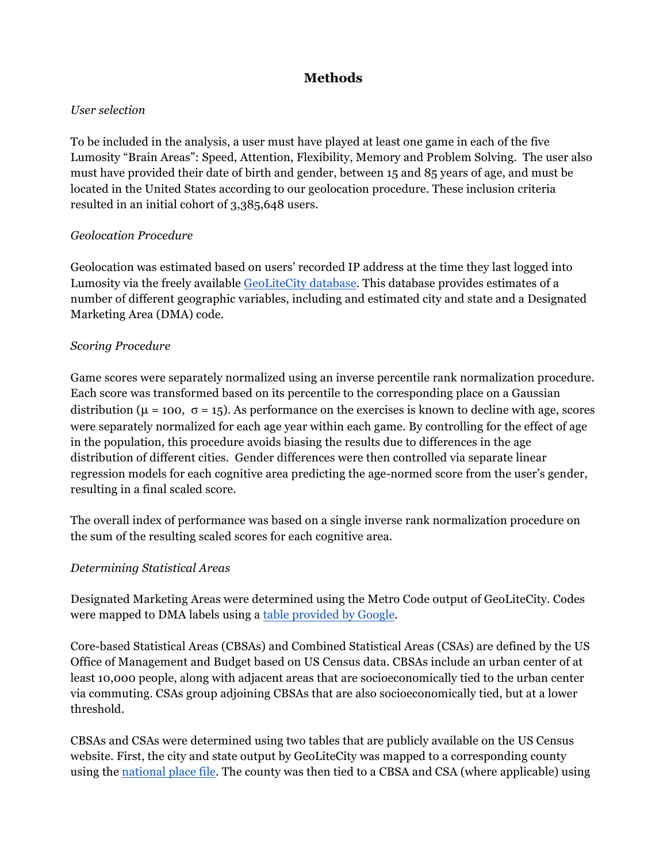## **Methods**

#### *User selection*

To be included in the analysis, a user must have played at least one game in each of the five Lumosity "Brain Areas": Speed, Attention, Flexibility, Memory and Problem Solving. The user also must have provided their date of birth and gender, between 15 and 85 years of age, and must be located in the United States according to our geolocation procedure. These inclusion criteria resulted in an initial cohort of 3,385,648 users.

#### *Geolocation Procedure*

Geolocation was estimated based on users' recorded IP address at the time they last logged into Lumosity via the freely available GeoLiteCity database. This database provides estimates of a number of different geographic variables, including and estimated city and state and a Designated Marketing Area (DMA) code.

#### *Scoring Procedure*

Game scores were separately normalized using an inverse percentile rank normalization procedure. Each score was transformed based on its percentile to the corresponding place on a Gaussian distribution ( $\mu$  = 100,  $\sigma$  = 15). As performance on the exercises is known to decline with age, scores were separately normalized for each age year within each game. By controlling for the effect of age in the population, this procedure avoids biasing the results due to differences in the age distribution of different cities. Gender differences were then controlled via separate linear regression models for each cognitive area predicting the age-normed score from the user's gender, resulting in a final scaled score.

The overall index of performance was based on a single inverse rank normalization procedure on the sum of the resulting scaled scores for each cognitive area.

#### *Determining Statistical Areas*

Designated Marketing Areas were determined using the Metro Code output of GeoLiteCity. Codes were mapped to DMA labels using a table provided by Google.

Core-based Statistical Areas (CBSAs) and Combined Statistical Areas (CSAs) are defined by the US Office of Management and Budget based on US Census data. CBSAs include an urban center of at least 10,000 people, along with adjacent areas that are socioeconomically tied to the urban center via commuting. CSAs group adjoining CBSAs that are also socioeconomically tied, but at a lower threshold.

CBSAs and CSAs were determined using two tables that are publicly available on the US Census website. First, the city and state output by GeoLiteCity was mapped to a corresponding county using the national place file. The county was then tied to a CBSA and CSA (where applicable) using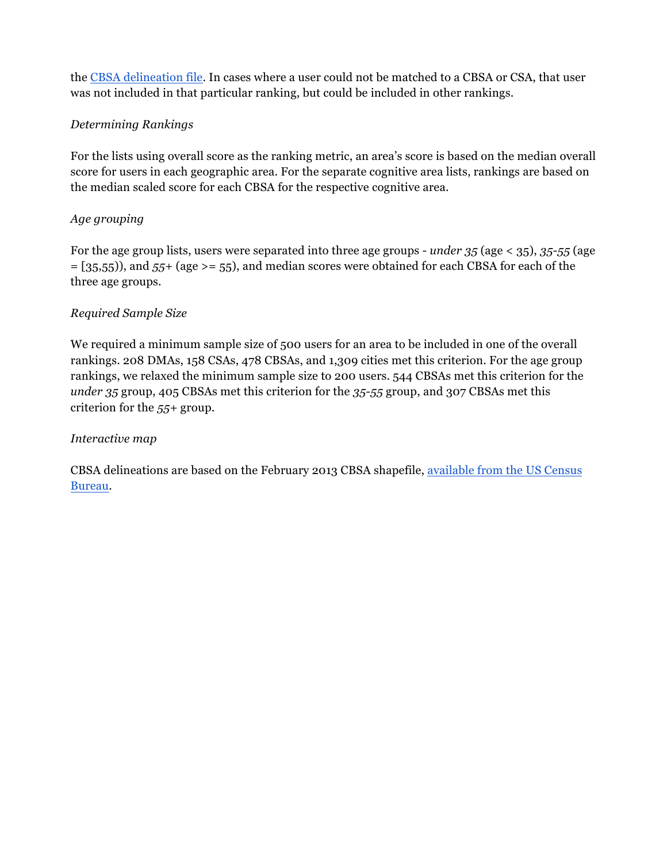the CBSA delineation file. In cases where a user could not be matched to a CBSA or CSA, that user was not included in that particular ranking, but could be included in other rankings.

#### *Determining Rankings*

For the lists using overall score as the ranking metric, an area's score is based on the median overall score for users in each geographic area. For the separate cognitive area lists, rankings are based on the median scaled score for each CBSA for the respective cognitive area.

#### *Age grouping*

For the age group lists, users were separated into three age groups - *under 35* (age < 35), *35-55* (age = [35,55)), and *55+* (age >= 55), and median scores were obtained for each CBSA for each of the three age groups.

#### *Required Sample Size*

We required a minimum sample size of 500 users for an area to be included in one of the overall rankings. 208 DMAs, 158 CSAs, 478 CBSAs, and 1,309 cities met this criterion. For the age group rankings, we relaxed the minimum sample size to 200 users. 544 CBSAs met this criterion for the *under 35* group, 405 CBSAs met this criterion for the *35-55* group, and 307 CBSAs met this criterion for the *55+* group.

#### *Interactive map*

CBSA delineations are based on the February 2013 CBSA shapefile, available from the US Census Bureau.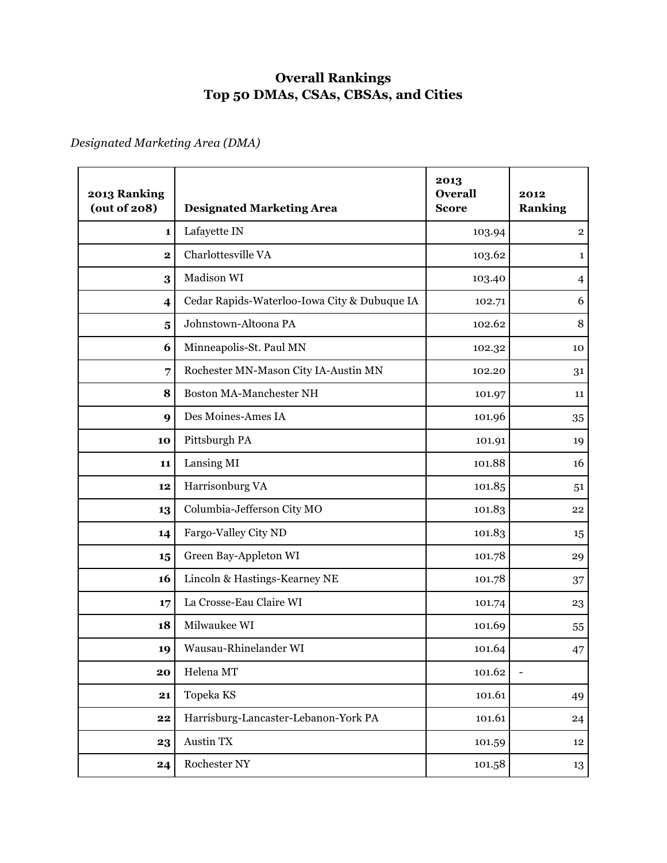## **Overall Rankings Top 50 DMAs, CSAs, CBSAs, and Cities**

*Designated Marketing Area (DMA)*

| 2013 Ranking<br>(out of 208) | <b>Designated Marketing Area</b>             | 2013<br><b>Overall</b><br><b>Score</b> | 2012<br><b>Ranking</b>  |
|------------------------------|----------------------------------------------|----------------------------------------|-------------------------|
| 1                            | Lafayette IN                                 | 103.94                                 | $\overline{\mathbf{2}}$ |
| $\overline{\mathbf{2}}$      | Charlottesville VA                           | 103.62                                 | $\mathbf{1}$            |
| 3                            | Madison WI                                   | 103.40                                 | $\overline{4}$          |
| $\overline{\mathbf{4}}$      | Cedar Rapids-Waterloo-Iowa City & Dubuque IA | 102.71                                 | 6                       |
| $\overline{\mathbf{5}}$      | Johnstown-Altoona PA                         | 102.62                                 | 8                       |
| 6                            | Minneapolis-St. Paul MN                      | 102.32                                 | 10                      |
| $\overline{7}$               | Rochester MN-Mason City IA-Austin MN         | 102.20                                 | 31                      |
| 8                            | Boston MA-Manchester NH                      | 101.97                                 | 11                      |
| 9                            | Des Moines-Ames IA                           | 101.96                                 | 35                      |
| 10                           | Pittsburgh PA                                | 101.91                                 | 19                      |
| 11                           | Lansing MI                                   | 101.88                                 | 16                      |
| 12                           | Harrisonburg VA                              | 101.85                                 | 51                      |
| 13                           | Columbia-Jefferson City MO                   | 101.83                                 | 22                      |
| 14                           | Fargo-Valley City ND                         | 101.83                                 | 15                      |
| 15                           | Green Bay-Appleton WI                        | 101.78                                 | 29                      |
| 16                           | Lincoln & Hastings-Kearney NE                | 101.78                                 | 37                      |
| 17                           | La Crosse-Eau Claire WI                      | 101.74                                 | 23                      |
| 18                           | Milwaukee WI                                 | 101.69                                 | 55                      |
| 19                           | Wausau-Rhinelander WI                        | 101.64                                 | 47                      |
| 20                           | Helena MT                                    | 101.62                                 |                         |
| 21                           | Topeka KS                                    | 101.61                                 | 49                      |
| 22                           | Harrisburg-Lancaster-Lebanon-York PA         | 101.61                                 | 24                      |
| 23                           | Austin TX                                    | 101.59                                 | 12                      |
| 24                           | Rochester NY                                 | 101.58                                 | 13                      |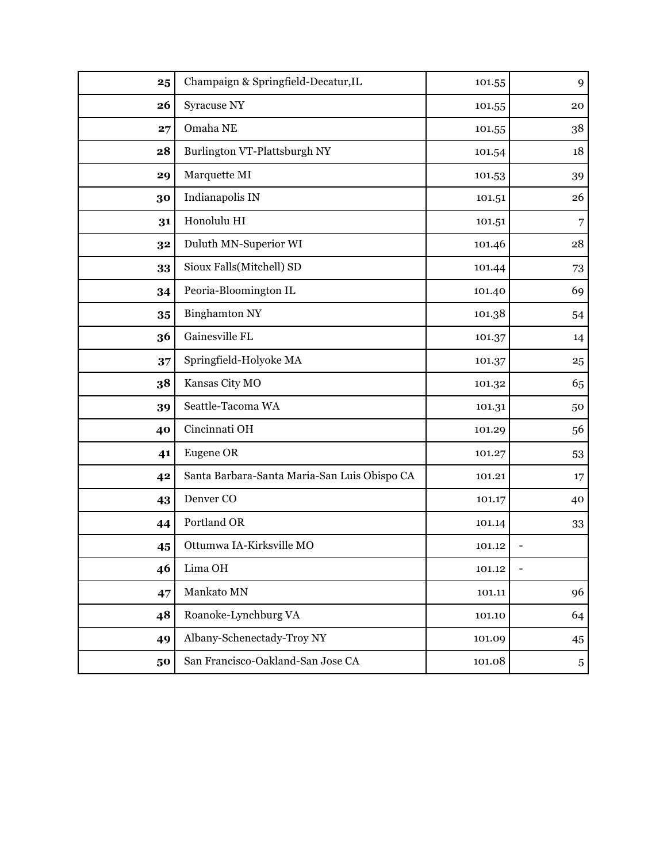| 25 | Champaign & Springfield-Decatur, IL          | 101.55 | 9              |
|----|----------------------------------------------|--------|----------------|
| 26 | Syracuse NY                                  | 101.55 | 20             |
| 27 | Omaha NE                                     | 101.55 | $38\,$         |
| 28 | Burlington VT-Plattsburgh NY                 | 101.54 | 18             |
| 29 | Marquette MI                                 | 101.53 | 39             |
| 30 | Indianapolis IN                              | 101.51 | 26             |
| 31 | Honolulu HI                                  | 101.51 | 7              |
| 32 | Duluth MN-Superior WI                        | 101.46 | 28             |
| 33 | Sioux Falls(Mitchell) SD                     | 101.44 | 73             |
| 34 | Peoria-Bloomington IL                        | 101.40 | 69             |
| 35 | <b>Binghamton NY</b>                         | 101.38 | 54             |
| 36 | Gainesville FL                               | 101.37 | 14             |
| 37 | Springfield-Holyoke MA                       | 101.37 | 25             |
| 38 | Kansas City MO                               | 101.32 | 65             |
| 39 | Seattle-Tacoma WA                            | 101.31 | 50             |
| 40 | Cincinnati OH                                | 101.29 | 56             |
| 41 | Eugene OR                                    | 101.27 | 53             |
| 42 | Santa Barbara-Santa Maria-San Luis Obispo CA | 101.21 | 17             |
| 43 | Denver <sub>CO</sub>                         | 101.17 | 40             |
| 44 | Portland OR                                  | 101.14 | 33             |
| 45 | Ottumwa IA-Kirksville MO                     | 101.12 |                |
| 46 | Lima OH                                      | 101.12 |                |
| 47 | Mankato MN                                   | 101.11 | 96             |
| 48 | Roanoke-Lynchburg VA                         | 101.10 | 64             |
| 49 | Albany-Schenectady-Troy NY                   | 101.09 | 45             |
| 50 | San Francisco-Oakland-San Jose CA            | 101.08 | $\overline{5}$ |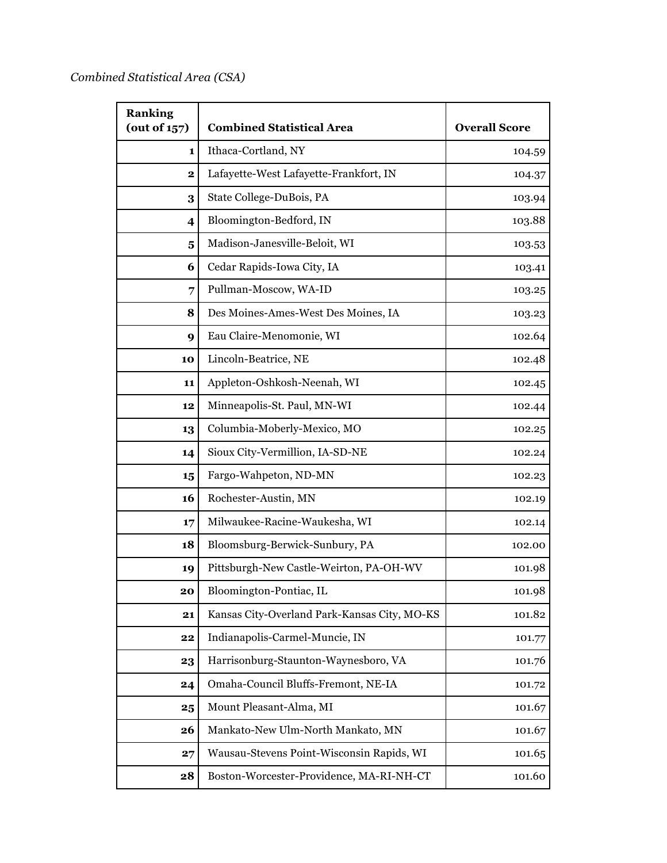| <b>Ranking</b><br>(out of $157$ ) | <b>Combined Statistical Area</b>             | <b>Overall Score</b> |
|-----------------------------------|----------------------------------------------|----------------------|
| 1                                 | Ithaca-Cortland, NY                          | 104.59               |
| $\mathbf 2$                       | Lafayette-West Lafayette-Frankfort, IN       | 104.37               |
| 3                                 | State College-DuBois, PA                     | 103.94               |
| $\overline{\mathbf{4}}$           | Bloomington-Bedford, IN                      | 103.88               |
| $\overline{\mathbf{5}}$           | Madison-Janesville-Beloit, WI                | 103.53               |
| 6                                 | Cedar Rapids-Iowa City, IA                   | 103.41               |
| 7                                 | Pullman-Moscow, WA-ID                        | 103.25               |
| 8                                 | Des Moines-Ames-West Des Moines, IA          | 103.23               |
| 9                                 | Eau Claire-Menomonie, WI                     | 102.64               |
| 10                                | Lincoln-Beatrice, NE                         | 102.48               |
| 11                                | Appleton-Oshkosh-Neenah, WI                  | 102.45               |
| 12                                | Minneapolis-St. Paul, MN-WI                  | 102.44               |
| 13                                | Columbia-Moberly-Mexico, MO                  | 102.25               |
| 14                                | Sioux City-Vermillion, IA-SD-NE              | 102.24               |
| 15                                | Fargo-Wahpeton, ND-MN                        | 102.23               |
| 16                                | Rochester-Austin, MN                         | 102.19               |
| 17                                | Milwaukee-Racine-Waukesha, WI                | 102.14               |
| 18                                | Bloomsburg-Berwick-Sunbury, PA               | 102.00               |
| 19                                | Pittsburgh-New Castle-Weirton, PA-OH-WV      | 101.98               |
| 20                                | Bloomington-Pontiac, IL                      | 101.98               |
| 21                                | Kansas City-Overland Park-Kansas City, MO-KS | 101.82               |
| 22                                | Indianapolis-Carmel-Muncie, IN               | 101.77               |
| 23                                | Harrisonburg-Staunton-Waynesboro, VA         | 101.76               |
| 24                                | Omaha-Council Bluffs-Fremont, NE-IA          | 101.72               |
| 25                                | Mount Pleasant-Alma, MI                      | 101.67               |
| 26                                | Mankato-New Ulm-North Mankato, MN            | 101.67               |
| 27                                | Wausau-Stevens Point-Wisconsin Rapids, WI    | 101.65               |
| 28                                | Boston-Worcester-Providence, MA-RI-NH-CT     | 101.60               |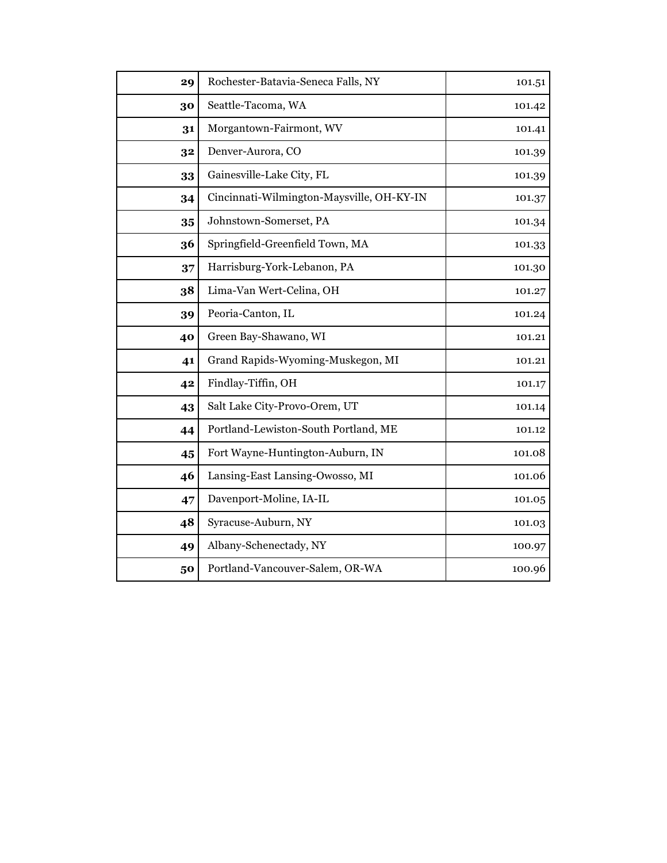| 29 | Rochester-Batavia-Seneca Falls, NY        | 101.51 |
|----|-------------------------------------------|--------|
| 30 | Seattle-Tacoma, WA                        | 101.42 |
| 31 | Morgantown-Fairmont, WV                   | 101.41 |
| 32 | Denver-Aurora, CO                         | 101.39 |
| 33 | Gainesville-Lake City, FL                 | 101.39 |
| 34 | Cincinnati-Wilmington-Maysville, OH-KY-IN | 101.37 |
| 35 | Johnstown-Somerset, PA                    | 101.34 |
| 36 | Springfield-Greenfield Town, MA           | 101.33 |
| 37 | Harrisburg-York-Lebanon, PA               | 101.30 |
| 38 | Lima-Van Wert-Celina, OH                  | 101.27 |
| 39 | Peoria-Canton, IL                         | 101.24 |
| 40 | Green Bay-Shawano, WI                     | 101.21 |
| 41 | Grand Rapids-Wyoming-Muskegon, MI         | 101.21 |
| 42 | Findlay-Tiffin, OH                        | 101.17 |
| 43 | Salt Lake City-Provo-Orem, UT             | 101.14 |
| 44 | Portland-Lewiston-South Portland, ME      | 101.12 |
| 45 | Fort Wayne-Huntington-Auburn, IN          | 101.08 |
| 46 | Lansing-East Lansing-Owosso, MI           | 101.06 |
| 47 | Davenport-Moline, IA-IL                   | 101.05 |
| 48 | Syracuse-Auburn, NY                       | 101.03 |
| 49 | Albany-Schenectady, NY                    | 100.97 |
| 50 | Portland-Vancouver-Salem, OR-WA           | 100.96 |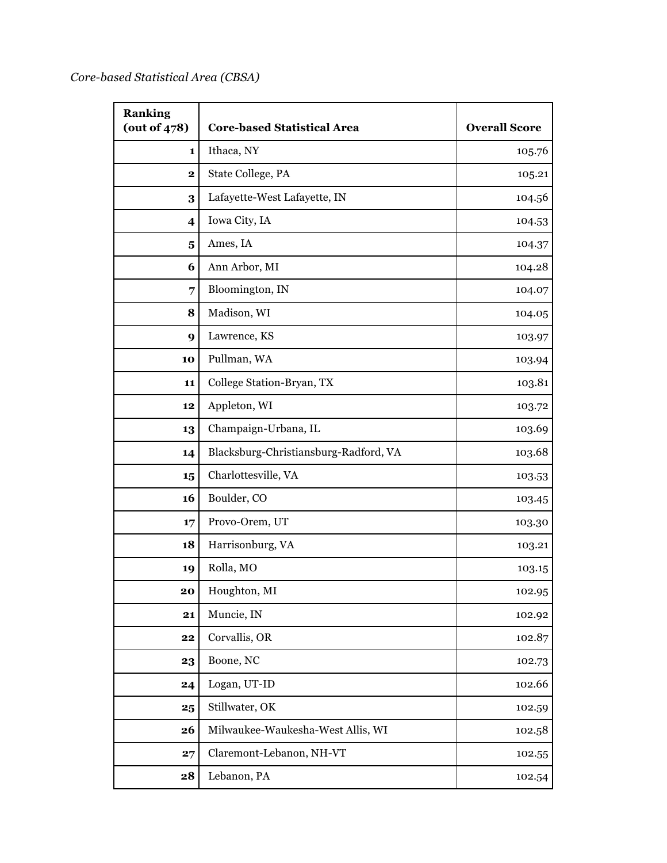*Core-based Statistical Area (CBSA)*

| <b>Ranking</b><br>(out of $478$ ) | <b>Core-based Statistical Area</b>    | <b>Overall Score</b> |
|-----------------------------------|---------------------------------------|----------------------|
| 1                                 | Ithaca, NY                            | 105.76               |
| $\overline{\mathbf{2}}$           | State College, PA                     | 105.21               |
| 3                                 | Lafayette-West Lafayette, IN          | 104.56               |
| $\overline{\mathbf{4}}$           | Iowa City, IA                         | 104.53               |
| 5                                 | Ames, IA                              | 104.37               |
| 6                                 | Ann Arbor, MI                         | 104.28               |
| 7                                 | Bloomington, IN                       | 104.07               |
| 8                                 | Madison, WI                           | 104.05               |
| 9                                 | Lawrence, KS                          | 103.97               |
| 10                                | Pullman, WA                           | 103.94               |
| 11                                | College Station-Bryan, TX             | 103.81               |
| 12                                | Appleton, WI                          | 103.72               |
| 13                                | Champaign-Urbana, IL                  | 103.69               |
| 14                                | Blacksburg-Christiansburg-Radford, VA | 103.68               |
| 15                                | Charlottesville, VA                   | 103.53               |
| 16                                | Boulder, CO                           | 103.45               |
| 17                                | Provo-Orem, UT                        | 103.30               |
| 18                                | Harrisonburg, VA                      | 103.21               |
| 19                                | Rolla, MO                             | 103.15               |
| 20                                | Houghton, MI                          | 102.95               |
| 21                                | Muncie, IN                            | 102.92               |
| 22                                | Corvallis, OR                         | 102.87               |
| 23                                | Boone, NC                             | 102.73               |
| 24                                | Logan, UT-ID                          | 102.66               |
| 25                                | Stillwater, OK                        | 102.59               |
| 26                                | Milwaukee-Waukesha-West Allis, WI     | 102.58               |
| 27                                | Claremont-Lebanon, NH-VT              | 102.55               |
| 28                                | Lebanon, PA                           | 102.54               |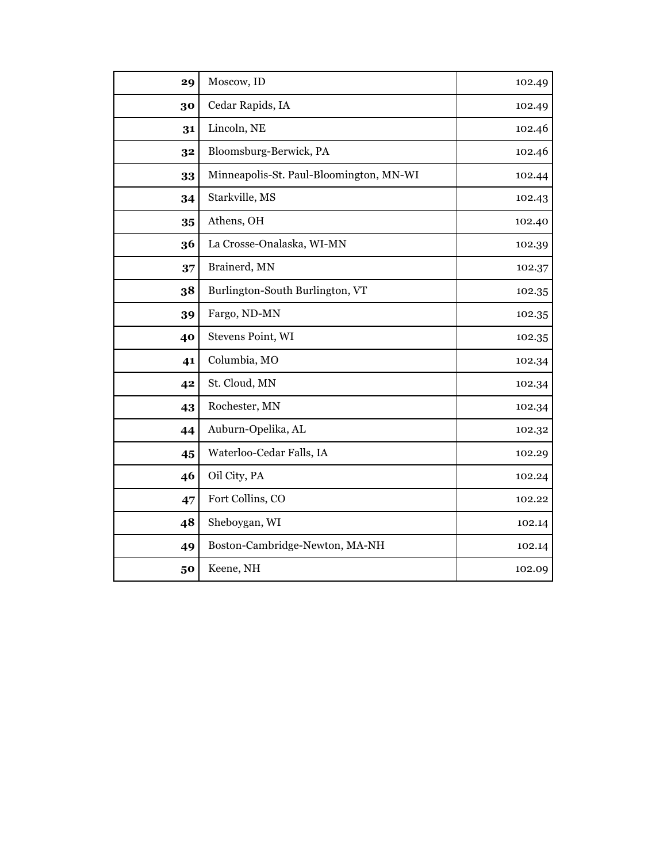| 29 | Moscow, ID                              | 102.49 |
|----|-----------------------------------------|--------|
| 30 | Cedar Rapids, IA                        | 102.49 |
| 31 | Lincoln, NE                             | 102.46 |
| 32 | Bloomsburg-Berwick, PA                  | 102.46 |
| 33 | Minneapolis-St. Paul-Bloomington, MN-WI | 102.44 |
| 34 | Starkville, MS                          | 102.43 |
| 35 | Athens, OH                              | 102.40 |
| 36 | La Crosse-Onalaska, WI-MN               | 102.39 |
| 37 | Brainerd, MN                            | 102.37 |
| 38 | Burlington-South Burlington, VT         | 102.35 |
| 39 | Fargo, ND-MN                            | 102.35 |
| 40 | Stevens Point, WI                       | 102.35 |
| 41 | Columbia, MO                            | 102.34 |
| 42 | St. Cloud, MN                           | 102.34 |
| 43 | Rochester, MN                           | 102.34 |
| 44 | Auburn-Opelika, AL                      | 102.32 |
| 45 | Waterloo-Cedar Falls, IA                | 102.29 |
| 46 | Oil City, PA                            | 102.24 |
| 47 | Fort Collins, CO                        | 102.22 |
| 48 | Sheboygan, WI                           | 102.14 |
| 49 | Boston-Cambridge-Newton, MA-NH          | 102.14 |
| 50 | Keene, NH                               | 102.09 |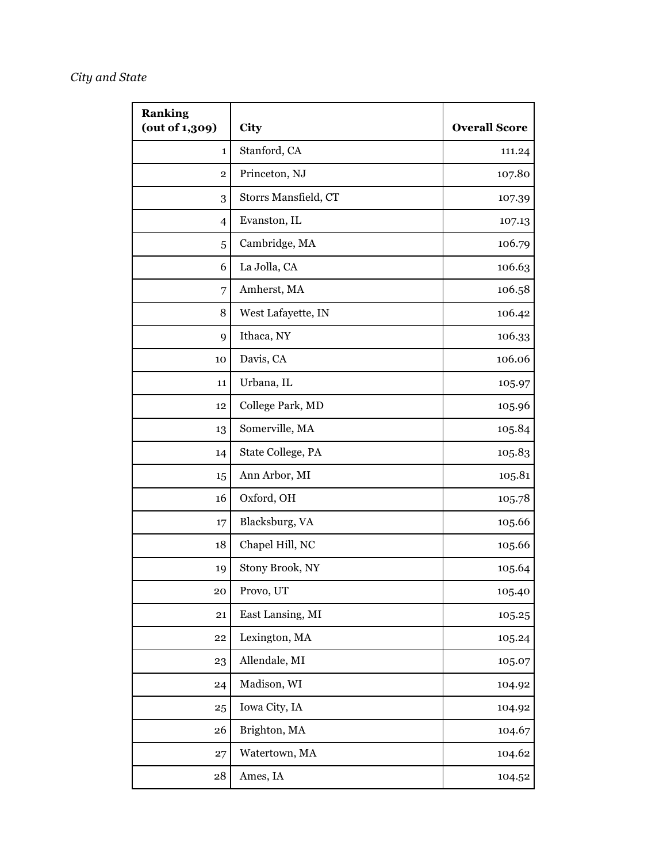## *City and State*

| <b>Ranking</b><br>(out of 1,309) | City                 | <b>Overall Score</b> |
|----------------------------------|----------------------|----------------------|
| 1                                | Stanford, CA         | 111.24               |
| 2                                | Princeton, NJ        | 107.80               |
| 3                                | Storrs Mansfield, CT | 107.39               |
| $\overline{4}$                   | Evanston, IL         | 107.13               |
| 5                                | Cambridge, MA        | 106.79               |
| 6                                | La Jolla, CA         | 106.63               |
| 7                                | Amherst, MA          | 106.58               |
| 8                                | West Lafayette, IN   | 106.42               |
| 9                                | Ithaca, NY           | 106.33               |
| 10                               | Davis, CA            | 106.06               |
| 11                               | Urbana, IL           | 105.97               |
| 12                               | College Park, MD     | 105.96               |
| 13                               | Somerville, MA       | 105.84               |
| 14                               | State College, PA    | 105.83               |
| 15                               | Ann Arbor, MI        | 105.81               |
| 16                               | Oxford, OH           | 105.78               |
| 17                               | Blacksburg, VA       | 105.66               |
| 18                               | Chapel Hill, NC      | 105.66               |
| 19                               | Stony Brook, NY      | 105.64               |
| 20                               | Provo, UT            | 105.40               |
| 21                               | East Lansing, MI     | 105.25               |
| 22                               | Lexington, MA        | 105.24               |
| 23                               | Allendale, MI        | 105.07               |
| 24                               | Madison, WI          | 104.92               |
| 25                               | Iowa City, IA        | 104.92               |
| 26                               | Brighton, MA         | 104.67               |
| 27                               | Watertown, MA        | 104.62               |
| 28                               | Ames, IA             | 104.52               |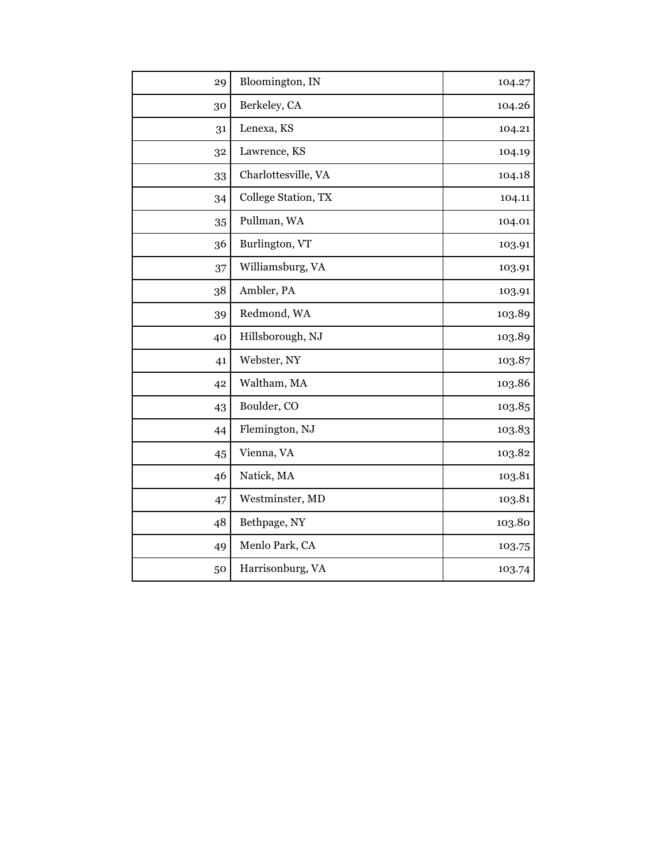| 29 | Bloomington, IN     | 104.27 |
|----|---------------------|--------|
| 30 | Berkeley, CA        | 104.26 |
| 31 | Lenexa, KS          | 104.21 |
| 32 | Lawrence, KS        | 104.19 |
| 33 | Charlottesville, VA | 104.18 |
| 34 | College Station, TX | 104.11 |
| 35 | Pullman, WA         | 104.01 |
| 36 | Burlington, VT      | 103.91 |
| 37 | Williamsburg, VA    | 103.91 |
| 38 | Ambler, PA          | 103.91 |
| 39 | Redmond, WA         | 103.89 |
| 40 | Hillsborough, NJ    | 103.89 |
| 41 | Webster, NY         | 103.87 |
| 42 | Waltham, MA         | 103.86 |
| 43 | Boulder, CO         | 103.85 |
| 44 | Flemington, NJ      | 103.83 |
| 45 | Vienna, VA          | 103.82 |
| 46 | Natick, MA          | 103.81 |
| 47 | Westminster, MD     | 103.81 |
| 48 | Bethpage, NY        | 103.80 |
| 49 | Menlo Park, CA      | 103.75 |
| 50 | Harrisonburg, VA    | 103.74 |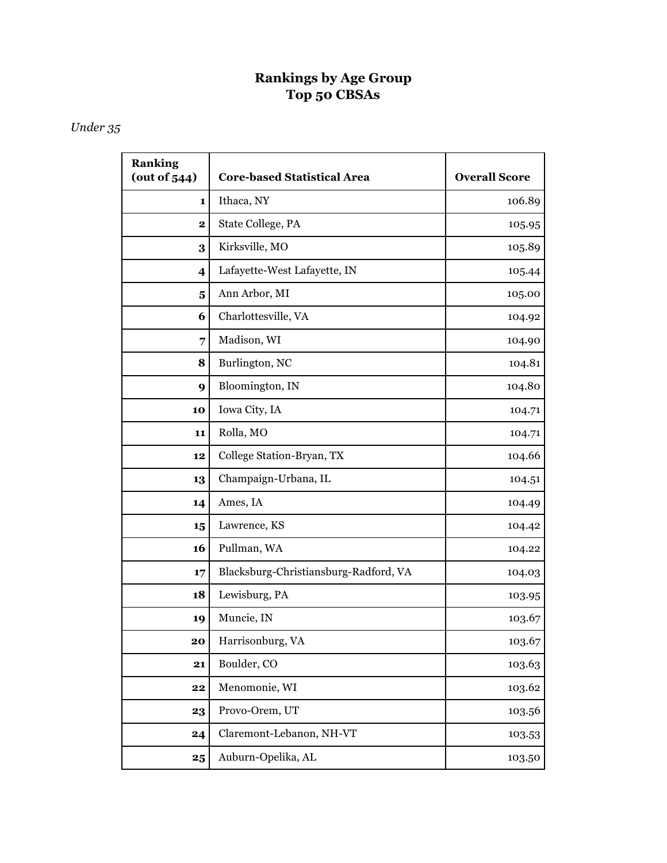# **Rankings by Age Group Top 50 CBSAs**

## *Under 35*

| <b>Ranking</b><br>(out of 544) | <b>Core-based Statistical Area</b>    | <b>Overall Score</b> |
|--------------------------------|---------------------------------------|----------------------|
| 1                              | Ithaca, NY                            | 106.89               |
| $\mathbf 2$                    | State College, PA                     | 105.95               |
| 3                              | Kirksville, MO                        | 105.89               |
| $\overline{\mathbf{4}}$        | Lafayette-West Lafayette, IN          | 105.44               |
| $\overline{\mathbf{5}}$        | Ann Arbor, MI                         | 105.00               |
| 6                              | Charlottesville, VA                   | 104.92               |
| 7                              | Madison, WI                           | 104.90               |
| 8                              | Burlington, NC                        | 104.81               |
| 9                              | Bloomington, IN                       | 104.80               |
| 10                             | Iowa City, IA                         | 104.71               |
| 11                             | Rolla, MO                             | 104.71               |
| 12                             | College Station-Bryan, TX             | 104.66               |
| 13                             | Champaign-Urbana, IL                  | 104.51               |
| 14                             | Ames, IA                              | 104.49               |
| 15                             | Lawrence, KS                          | 104.42               |
| 16                             | Pullman, WA                           | 104.22               |
| 17                             | Blacksburg-Christiansburg-Radford, VA | 104.03               |
| 18                             | Lewisburg, PA                         | 103.95               |
| 19                             | Muncie, IN                            | 103.67               |
| 20                             | Harrisonburg, VA                      | 103.67               |
| 21                             | Boulder, CO                           | 103.63               |
| $\bf 22$                       | Menomonie, WI                         | 103.62               |
| 23                             | Provo-Orem, UT                        | 103.56               |
| 24                             | Claremont-Lebanon, NH-VT              | 103.53               |
| 25                             | Auburn-Opelika, AL                    | 103.50               |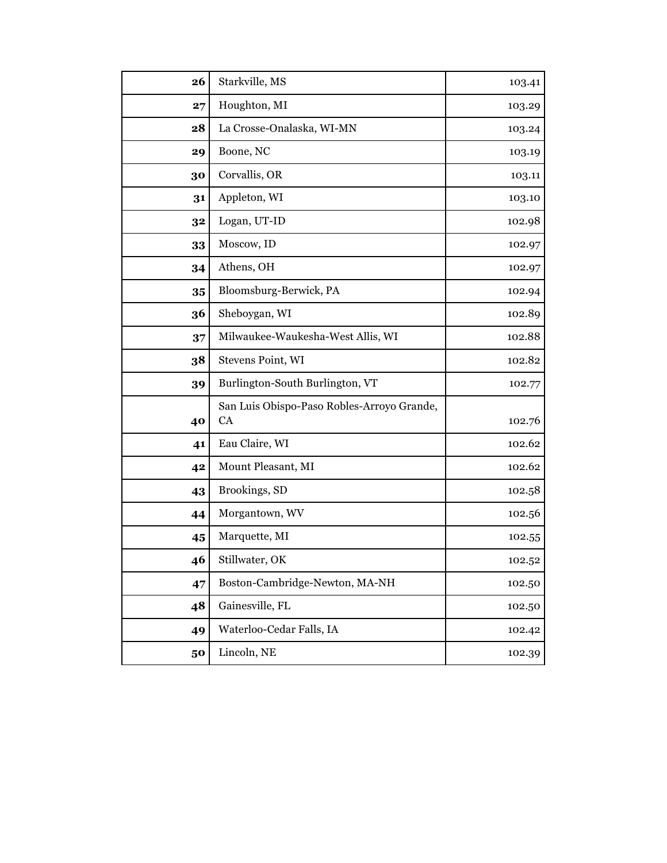| 26 | Starkville, MS                                          | 103.41 |
|----|---------------------------------------------------------|--------|
| 27 | Houghton, MI                                            | 103.29 |
| 28 | La Crosse-Onalaska, WI-MN                               | 103.24 |
| 29 | Boone, NC                                               | 103.19 |
| 30 | Corvallis, OR                                           | 103.11 |
| 31 | Appleton, WI                                            | 103.10 |
| 32 | Logan, UT-ID                                            | 102.98 |
| 33 | Moscow, ID                                              | 102.97 |
| 34 | Athens, OH                                              | 102.97 |
| 35 | Bloomsburg-Berwick, PA                                  | 102.94 |
| 36 | Sheboygan, WI                                           | 102.89 |
| 37 | Milwaukee-Waukesha-West Allis, WI                       | 102.88 |
| 38 | Stevens Point, WI                                       | 102.82 |
| 39 | Burlington-South Burlington, VT                         | 102.77 |
| 40 | San Luis Obispo-Paso Robles-Arroyo Grande,<br><b>CA</b> | 102.76 |
| 41 | Eau Claire, WI                                          | 102.62 |
| 42 | Mount Pleasant, MI                                      | 102.62 |
| 43 | Brookings, SD                                           | 102.58 |
| 44 | Morgantown, WV                                          | 102.56 |
| 45 | Marquette, MI                                           | 102.55 |
| 46 | Stillwater, OK                                          | 102.52 |
| 47 | Boston-Cambridge-Newton, MA-NH                          | 102.50 |
| 48 | Gainesville, FL                                         | 102.50 |
| 49 | Waterloo-Cedar Falls, IA                                | 102.42 |
| 50 | Lincoln, NE                                             | 102.39 |
|    |                                                         |        |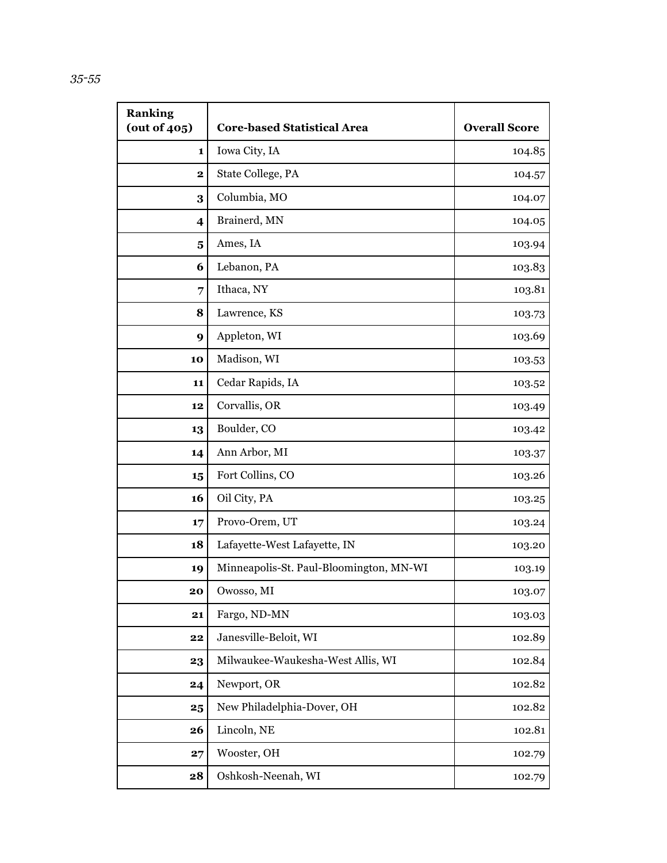| <b>Ranking</b><br>(out of 405) | <b>Core-based Statistical Area</b>      | <b>Overall Score</b> |
|--------------------------------|-----------------------------------------|----------------------|
| 1                              | Iowa City, IA                           | 104.85               |
| $\mathbf 2$                    | State College, PA                       | 104.57               |
| 3                              | Columbia, MO                            | 104.07               |
| 4                              | Brainerd, MN                            | 104.05               |
| $\overline{\mathbf{5}}$        | Ames, IA                                | 103.94               |
| 6                              | Lebanon, PA                             | 103.83               |
| 7                              | Ithaca, NY                              | 103.81               |
| 8                              | Lawrence, KS                            | 103.73               |
| 9                              | Appleton, WI                            | 103.69               |
| 10                             | Madison, WI                             | 103.53               |
| 11                             | Cedar Rapids, IA                        | 103.52               |
| 12                             | Corvallis, OR                           | 103.49               |
| 13                             | Boulder, CO                             | 103.42               |
| 14                             | Ann Arbor, MI                           | 103.37               |
| 15                             | Fort Collins, CO                        | 103.26               |
| 16                             | Oil City, PA                            | 103.25               |
| 17                             | Provo-Orem, UT                          | 103.24               |
| 18                             | Lafayette-West Lafayette, IN            | 103.20               |
| 19                             | Minneapolis-St. Paul-Bloomington, MN-WI | 103.19               |
| 20                             | Owosso, MI                              | 103.07               |
| 21                             | Fargo, ND-MN                            | 103.03               |
| 22                             | Janesville-Beloit, WI                   | 102.89               |
| 23                             | Milwaukee-Waukesha-West Allis, WI       | 102.84               |
| 24                             | Newport, OR                             | 102.82               |
| 25                             | New Philadelphia-Dover, OH              | 102.82               |
| 26                             | Lincoln, NE                             | 102.81               |
| 27                             | Wooster, OH                             | 102.79               |
| 28                             | Oshkosh-Neenah, WI                      | 102.79               |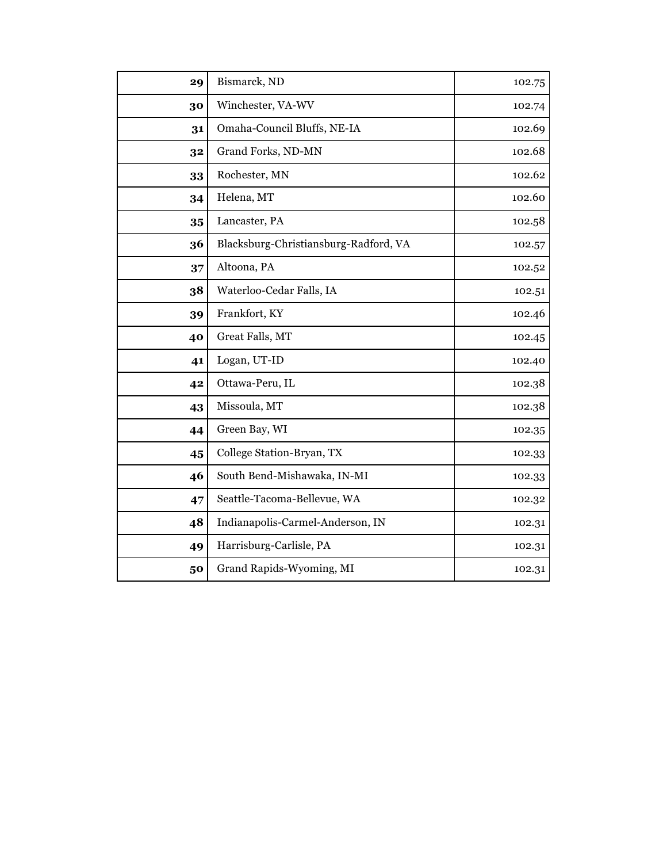| 29 | Bismarck, ND                          | 102.75 |
|----|---------------------------------------|--------|
| 30 | Winchester, VA-WV                     | 102.74 |
| 31 | Omaha-Council Bluffs, NE-IA           | 102.69 |
| 32 | Grand Forks, ND-MN                    | 102.68 |
| 33 | Rochester, MN                         | 102.62 |
| 34 | Helena, MT                            | 102.60 |
| 35 | Lancaster, PA                         | 102.58 |
| 36 | Blacksburg-Christiansburg-Radford, VA | 102.57 |
| 37 | Altoona, PA                           | 102.52 |
| 38 | Waterloo-Cedar Falls, IA              | 102.51 |
| 39 | Frankfort, KY                         | 102.46 |
| 40 | Great Falls, MT                       | 102.45 |
| 41 | Logan, UT-ID                          | 102.40 |
| 42 | Ottawa-Peru, IL                       | 102.38 |
| 43 | Missoula, MT                          | 102.38 |
| 44 | Green Bay, WI                         | 102.35 |
| 45 | College Station-Bryan, TX             | 102.33 |
| 46 | South Bend-Mishawaka, IN-MI           | 102.33 |
| 47 | Seattle-Tacoma-Bellevue, WA           | 102.32 |
| 48 | Indianapolis-Carmel-Anderson, IN      | 102.31 |
| 49 | Harrisburg-Carlisle, PA               | 102.31 |
| 50 | Grand Rapids-Wyoming, MI              | 102.31 |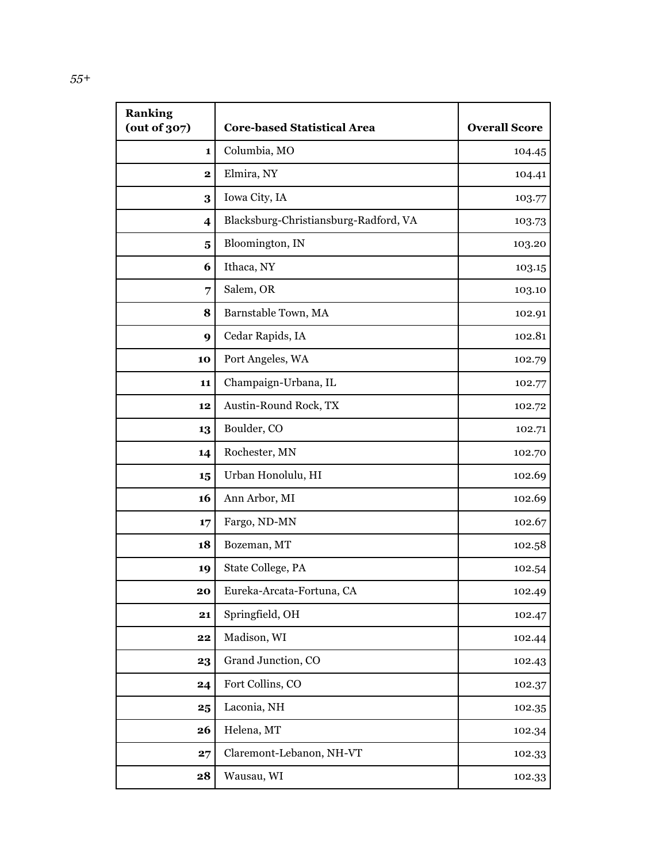| <b>Ranking</b><br>(out of 307) | <b>Core-based Statistical Area</b>    | <b>Overall Score</b> |
|--------------------------------|---------------------------------------|----------------------|
| $\mathbf{1}$                   | Columbia, MO                          | 104.45               |
| $\mathbf 2$                    | Elmira, NY                            | 104.41               |
| 3                              | Iowa City, IA                         | 103.77               |
| $\overline{\mathbf{4}}$        | Blacksburg-Christiansburg-Radford, VA | 103.73               |
| 5                              | Bloomington, IN                       | 103.20               |
| 6                              | Ithaca, NY                            | 103.15               |
| 7                              | Salem, OR                             | 103.10               |
| 8                              | Barnstable Town, MA                   | 102.91               |
| 9                              | Cedar Rapids, IA                      | 102.81               |
| 10                             | Port Angeles, WA                      | 102.79               |
| 11                             | Champaign-Urbana, IL                  | 102.77               |
| 12                             | Austin-Round Rock, TX                 | 102.72               |
| 13                             | Boulder, CO                           | 102.71               |
| 14                             | Rochester, MN                         | 102.70               |
| 15                             | Urban Honolulu, HI                    | 102.69               |
| 16                             | Ann Arbor, MI                         | 102.69               |
| 17                             | Fargo, ND-MN                          | 102.67               |
| 18                             | Bozeman, MT                           | 102.58               |
| 19                             | State College, PA                     | 102.54               |
| 20                             | Eureka-Arcata-Fortuna, CA             | 102.49               |
| 21                             | Springfield, OH                       | 102.47               |
| 22                             | Madison, WI                           | 102.44               |
| 23                             | Grand Junction, CO                    | 102.43               |
| 24                             | Fort Collins, CO                      | 102.37               |
| 25                             | Laconia, NH                           | 102.35               |
| 26                             | Helena, MT                            | 102.34               |
| 27                             | Claremont-Lebanon, NH-VT              | 102.33               |
| 28                             | Wausau, WI                            | 102.33               |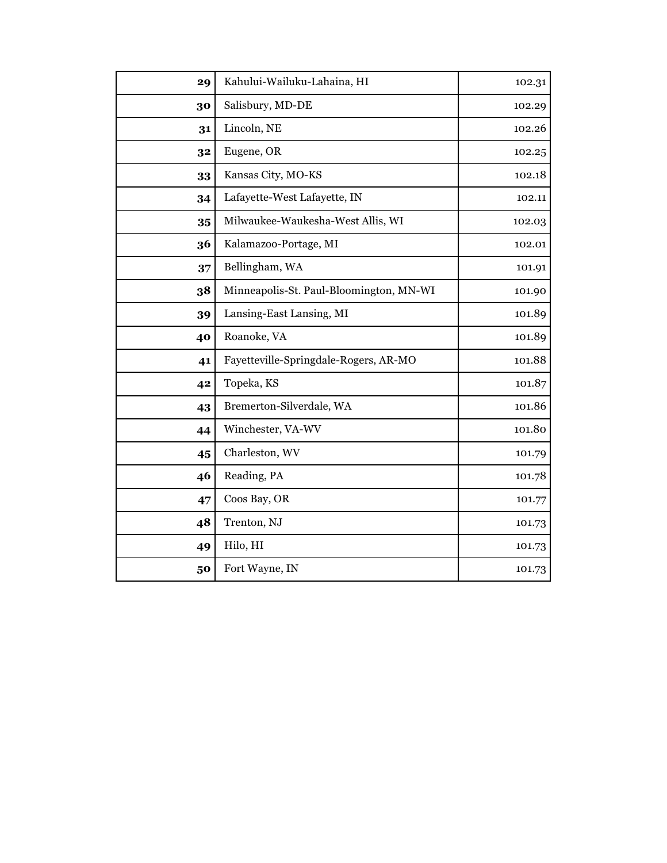| 29 | Kahului-Wailuku-Lahaina, HI             | 102.31 |
|----|-----------------------------------------|--------|
| 30 | Salisbury, MD-DE                        | 102.29 |
| 31 | Lincoln, NE                             | 102.26 |
| 32 | Eugene, OR                              | 102.25 |
| 33 | Kansas City, MO-KS                      | 102.18 |
| 34 | Lafayette-West Lafayette, IN            | 102.11 |
| 35 | Milwaukee-Waukesha-West Allis, WI       | 102.03 |
| 36 | Kalamazoo-Portage, MI                   | 102.01 |
| 37 | Bellingham, WA                          | 101.91 |
| 38 | Minneapolis-St. Paul-Bloomington, MN-WI | 101.90 |
| 39 | Lansing-East Lansing, MI                | 101.89 |
| 40 | Roanoke, VA                             | 101.89 |
| 41 | Fayetteville-Springdale-Rogers, AR-MO   | 101.88 |
| 42 | Topeka, KS                              | 101.87 |
| 43 | Bremerton-Silverdale, WA                | 101.86 |
| 44 | Winchester, VA-WV                       | 101.80 |
| 45 | Charleston, WV                          | 101.79 |
| 46 | Reading, PA                             | 101.78 |
| 47 | Coos Bay, OR                            | 101.77 |
| 48 | Trenton, NJ                             | 101.73 |
| 49 | Hilo, HI                                | 101.73 |
| 50 | Fort Wayne, IN                          | 101.73 |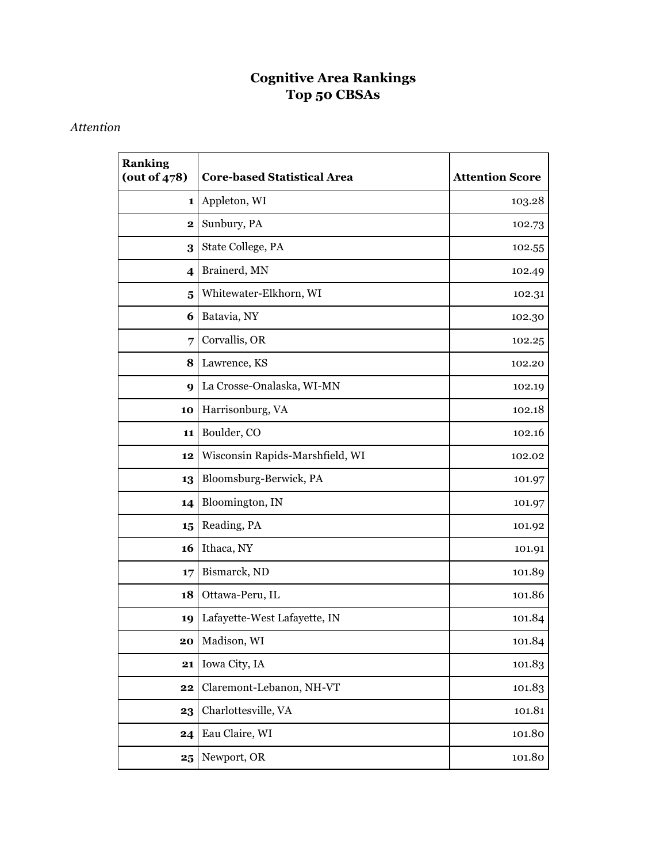# **Cognitive Area Rankings Top 50 CBSAs**

#### *Attention*

| <b>Ranking</b><br>(out of $478$ ) | <b>Core-based Statistical Area</b> | <b>Attention Score</b> |
|-----------------------------------|------------------------------------|------------------------|
| 1                                 | Appleton, WI                       | 103.28                 |
| $\mathbf 2$                       | Sunbury, PA                        | 102.73                 |
| 3                                 | State College, PA                  | 102.55                 |
| $\overline{\mathbf{4}}$           | Brainerd, MN                       | 102.49                 |
| $\overline{\mathbf{5}}$           | Whitewater-Elkhorn, WI             | 102.31                 |
| 6                                 | Batavia, NY                        | 102.30                 |
| 7                                 | Corvallis, OR                      | 102.25                 |
| 8                                 | Lawrence, KS                       | 102.20                 |
| 9                                 | La Crosse-Onalaska, WI-MN          | 102.19                 |
| 10                                | Harrisonburg, VA                   | 102.18                 |
| 11                                | Boulder, CO                        | 102.16                 |
| 12                                | Wisconsin Rapids-Marshfield, WI    | 102.02                 |
| 13                                | Bloomsburg-Berwick, PA             | 101.97                 |
| 14                                | Bloomington, IN                    | 101.97                 |
| 15                                | Reading, PA                        | 101.92                 |
| 16                                | Ithaca, NY                         | 101.91                 |
| 17                                | Bismarck, ND                       | 101.89                 |
| 18                                | Ottawa-Peru, IL                    | 101.86                 |
| 19                                | Lafayette-West Lafayette, IN       | 101.84                 |
| 20                                | Madison, WI                        | 101.84                 |
| 21                                | Iowa City, IA                      | 101.83                 |
| 22                                | Claremont-Lebanon, NH-VT           | 101.83                 |
| 23                                | Charlottesville, VA                | 101.81                 |
| 24                                | Eau Claire, WI                     | 101.80                 |
| 25                                | Newport, OR                        | 101.80                 |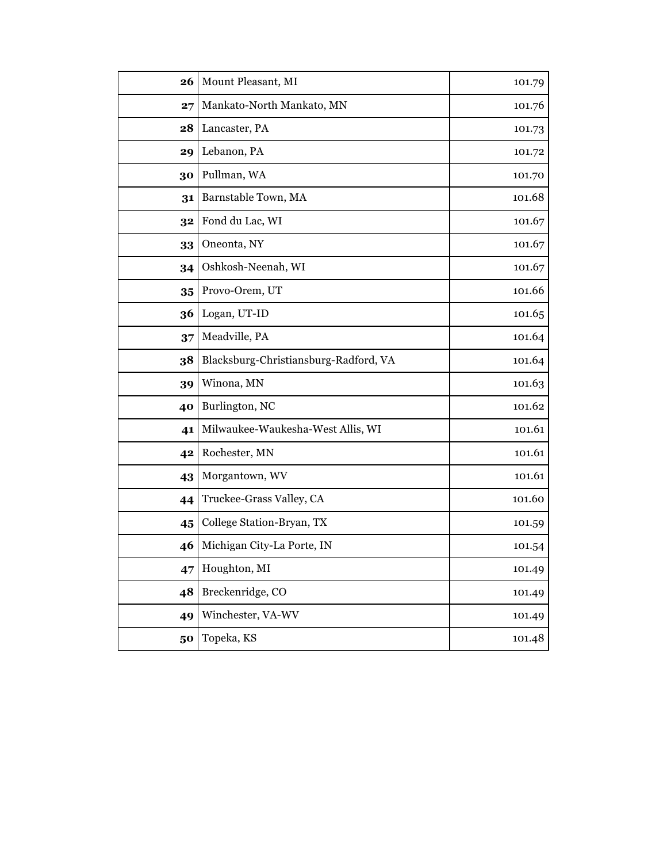| 26 | Mount Pleasant, MI                    | 101.79 |
|----|---------------------------------------|--------|
| 27 | Mankato-North Mankato, MN             | 101.76 |
| 28 | Lancaster, PA                         | 101.73 |
| 29 | Lebanon, PA                           | 101.72 |
| 30 | Pullman, WA                           | 101.70 |
| 31 | Barnstable Town, MA                   | 101.68 |
| 32 | Fond du Lac, WI                       | 101.67 |
| 33 | Oneonta, NY                           | 101.67 |
| 34 | Oshkosh-Neenah, WI                    | 101.67 |
| 35 | Provo-Orem, UT                        | 101.66 |
| 36 | Logan, UT-ID                          | 101.65 |
| 37 | Meadville, PA                         | 101.64 |
| 38 | Blacksburg-Christiansburg-Radford, VA | 101.64 |
| 39 | Winona, MN                            | 101.63 |
| 40 | Burlington, NC                        | 101.62 |
| 41 | Milwaukee-Waukesha-West Allis, WI     | 101.61 |
| 42 | Rochester, MN                         | 101.61 |
| 43 | Morgantown, WV                        | 101.61 |
| 44 | Truckee-Grass Valley, CA              | 101.60 |
| 45 | College Station-Bryan, TX             | 101.59 |
| 46 | Michigan City-La Porte, IN            | 101.54 |
| 47 | Houghton, MI                          | 101.49 |
| 48 | Breckenridge, CO                      | 101.49 |
| 49 | Winchester, VA-WV                     | 101.49 |
| 50 | Topeka, KS                            | 101.48 |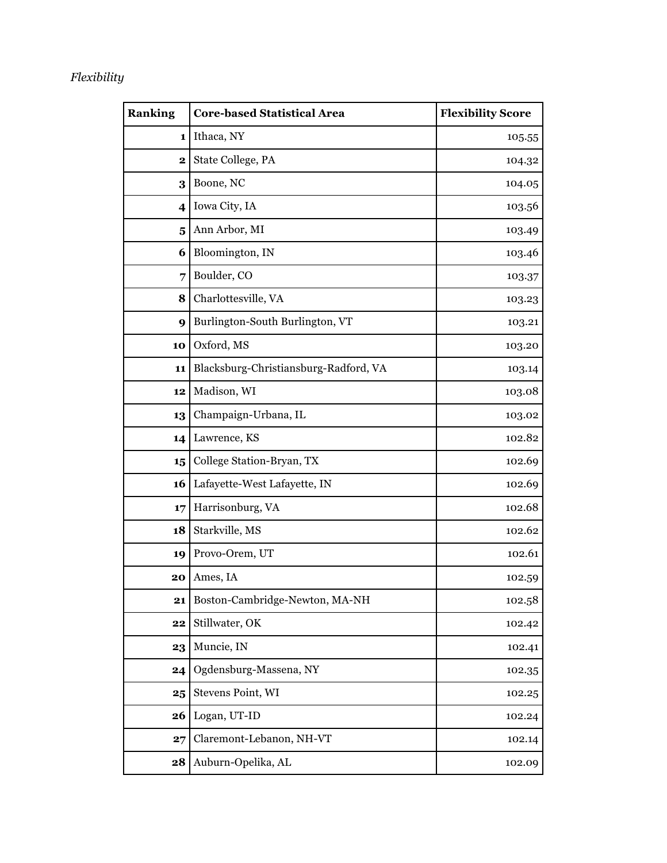## *Flexibility*

| <b>Ranking</b>          | <b>Core-based Statistical Area</b>    | <b>Flexibility Score</b> |
|-------------------------|---------------------------------------|--------------------------|
| 1                       | Ithaca, NY                            | 105.55                   |
| 2                       | State College, PA                     | 104.32                   |
| 3                       | Boone, NC                             | 104.05                   |
| $\overline{\mathbf{4}}$ | Iowa City, IA                         | 103.56                   |
| $\overline{\mathbf{5}}$ | Ann Arbor, MI                         | 103.49                   |
| 6                       | Bloomington, IN                       | 103.46                   |
| 7                       | Boulder, CO                           | 103.37                   |
| 8                       | Charlottesville, VA                   | 103.23                   |
| 9                       | Burlington-South Burlington, VT       | 103.21                   |
| 10                      | Oxford, MS                            | 103.20                   |
| 11                      | Blacksburg-Christiansburg-Radford, VA | 103.14                   |
| 12                      | Madison, WI                           | 103.08                   |
| 13                      | Champaign-Urbana, IL                  | 103.02                   |
| 14                      | Lawrence, KS                          | 102.82                   |
| 15                      | College Station-Bryan, TX             | 102.69                   |
| 16                      | Lafayette-West Lafayette, IN          | 102.69                   |
| 17                      | Harrisonburg, VA                      | 102.68                   |
| 18                      | Starkville, MS                        | 102.62                   |
| 19                      | Provo-Orem, UT                        | 102.61                   |
| 20                      | Ames, IA                              | 102.59                   |
| 21                      | Boston-Cambridge-Newton, MA-NH        | 102.58                   |
| 22                      | Stillwater, OK                        | 102.42                   |
| 23                      | Muncie, IN                            | 102.41                   |
| 24                      | Ogdensburg-Massena, NY                | 102.35                   |
| 25                      | Stevens Point, WI                     | 102.25                   |
| 26                      | Logan, UT-ID                          | 102.24                   |
| 27                      | Claremont-Lebanon, NH-VT              | 102.14                   |
| 28                      | Auburn-Opelika, AL                    | 102.09                   |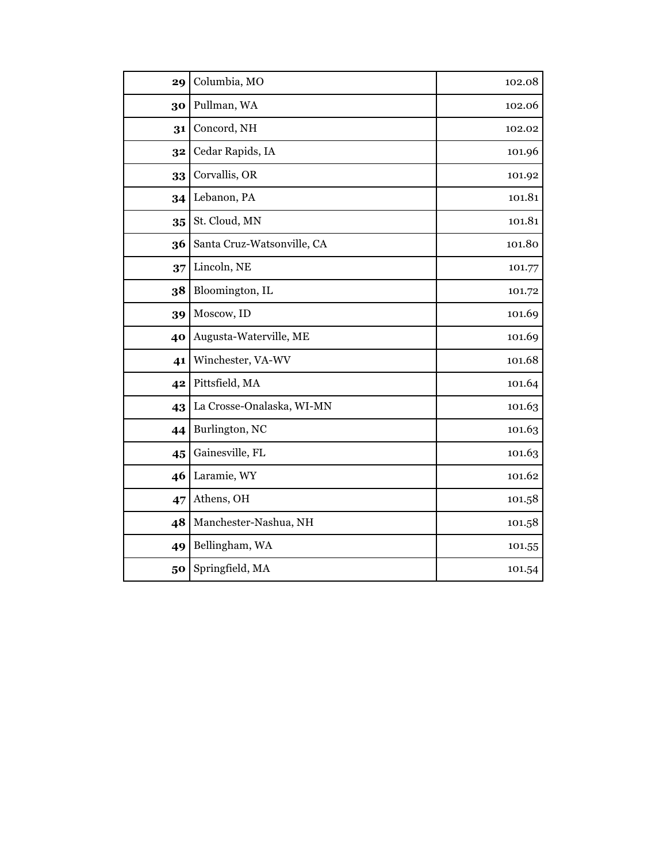| 29 | Columbia, MO               | 102.08 |
|----|----------------------------|--------|
| 30 | Pullman, WA                | 102.06 |
| 31 | Concord, NH                | 102.02 |
| 32 | Cedar Rapids, IA           | 101.96 |
| 33 | Corvallis, OR              | 101.92 |
| 34 | Lebanon, PA                | 101.81 |
| 35 | St. Cloud, MN              | 101.81 |
| 36 | Santa Cruz-Watsonville, CA | 101.80 |
| 37 | Lincoln, NE                | 101.77 |
| 38 | Bloomington, IL            | 101.72 |
| 39 | Moscow, ID                 | 101.69 |
| 40 | Augusta-Waterville, ME     | 101.69 |
| 41 | Winchester, VA-WV          | 101.68 |
| 42 | Pittsfield, MA             | 101.64 |
| 43 | La Crosse-Onalaska, WI-MN  | 101.63 |
| 44 | Burlington, NC             | 101.63 |
| 45 | Gainesville, FL            | 101.63 |
| 46 | Laramie, WY                | 101.62 |
| 47 | Athens, OH                 | 101.58 |
| 48 | Manchester-Nashua, NH      | 101.58 |
| 49 | Bellingham, WA             | 101.55 |
| 50 | Springfield, MA            | 101.54 |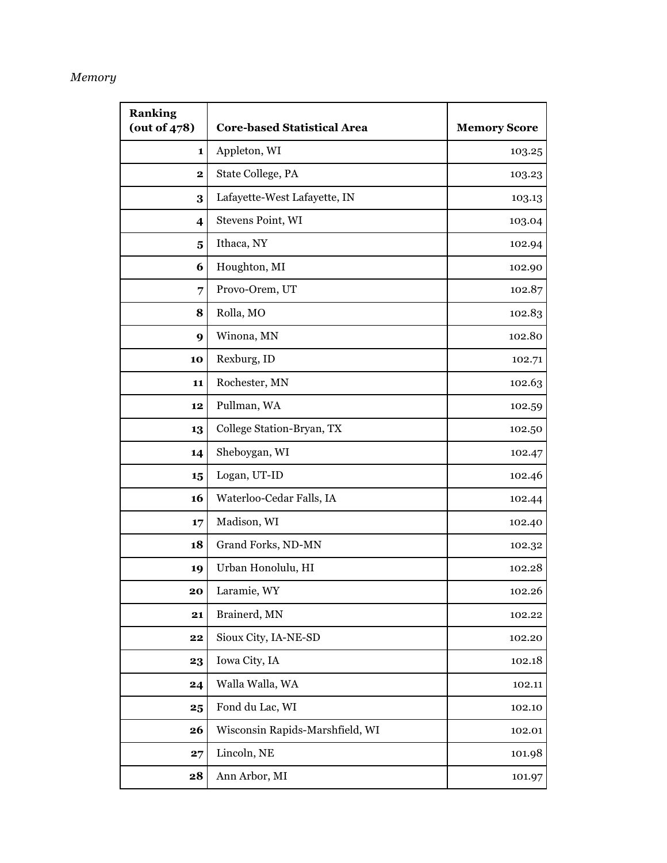#### *Memory*

| <b>Ranking</b><br>(out of $478$ ) | <b>Core-based Statistical Area</b> | <b>Memory Score</b> |
|-----------------------------------|------------------------------------|---------------------|
| 1                                 | Appleton, WI                       | 103.25              |
| $\mathbf 2$                       | State College, PA                  | 103.23              |
| 3                                 | Lafayette-West Lafayette, IN       | 103.13              |
| $\overline{\mathbf{4}}$           | Stevens Point, WI                  | 103.04              |
| $\overline{\mathbf{5}}$           | Ithaca, NY                         | 102.94              |
| 6                                 | Houghton, MI                       | 102.90              |
| 7                                 | Provo-Orem, UT                     | 102.87              |
| 8                                 | Rolla, MO                          | 102.83              |
| 9                                 | Winona, MN                         | 102.80              |
| 10                                | Rexburg, ID                        | 102.71              |
| 11                                | Rochester, MN                      | 102.63              |
| 12                                | Pullman, WA                        | 102.59              |
| 13                                | College Station-Bryan, TX          | 102.50              |
| 14                                | Sheboygan, WI                      | 102.47              |
| 15                                | Logan, UT-ID                       | 102.46              |
| 16                                | Waterloo-Cedar Falls, IA           | 102.44              |
| 17                                | Madison, WI                        | 102.40              |
| 18                                | Grand Forks, ND-MN                 | 102.32              |
| 19                                | Urban Honolulu, HI                 | 102.28              |
| 20                                | Laramie, WY                        | 102.26              |
| 21                                | Brainerd, MN                       | 102.22              |
| 22                                | Sioux City, IA-NE-SD               | 102.20              |
| 23                                | Iowa City, IA                      | 102.18              |
| 24                                | Walla Walla, WA                    | 102.11              |
| 25                                | Fond du Lac, WI                    | 102.10              |
| 26                                | Wisconsin Rapids-Marshfield, WI    | 102.01              |
| 27                                | Lincoln, NE                        | 101.98              |
| 28                                | Ann Arbor, MI                      | 101.97              |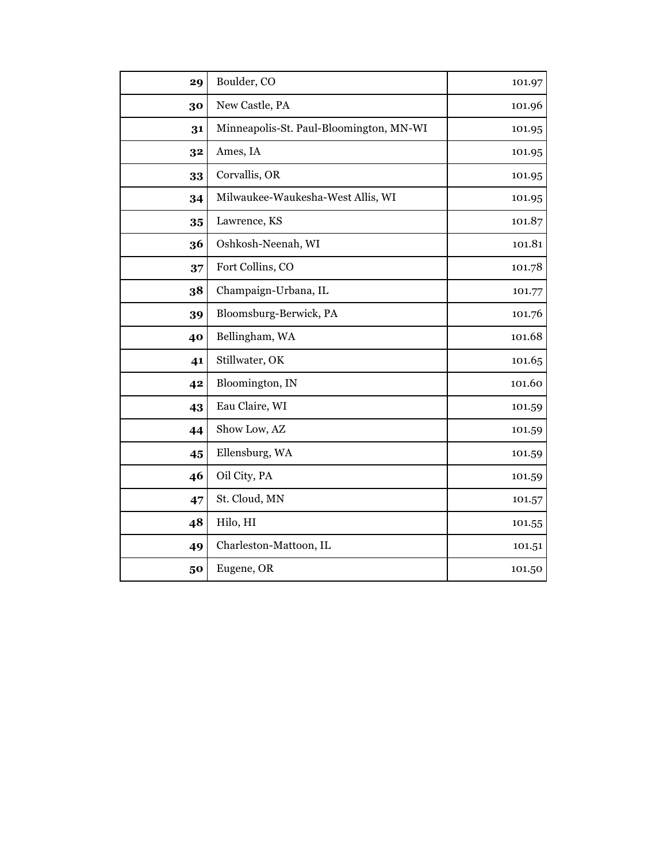| 29 | Boulder, CO                             | 101.97 |
|----|-----------------------------------------|--------|
| 30 | New Castle, PA                          | 101.96 |
| 31 | Minneapolis-St. Paul-Bloomington, MN-WI | 101.95 |
| 32 | Ames, IA                                | 101.95 |
| 33 | Corvallis, OR                           | 101.95 |
| 34 | Milwaukee-Waukesha-West Allis, WI       | 101.95 |
| 35 | Lawrence, KS                            | 101.87 |
| 36 | Oshkosh-Neenah, WI                      | 101.81 |
| 37 | Fort Collins, CO                        | 101.78 |
| 38 | Champaign-Urbana, IL                    | 101.77 |
| 39 | Bloomsburg-Berwick, PA                  | 101.76 |
| 40 | Bellingham, WA                          | 101.68 |
| 41 | Stillwater, OK                          | 101.65 |
| 42 | Bloomington, IN                         | 101.60 |
| 43 | Eau Claire, WI                          | 101.59 |
| 44 | Show Low, AZ                            | 101.59 |
| 45 | Ellensburg, WA                          | 101.59 |
| 46 | Oil City, PA                            | 101.59 |
| 47 | St. Cloud, MN                           | 101.57 |
| 48 | Hilo, HI                                | 101.55 |
| 49 | Charleston-Mattoon, IL                  | 101.51 |
| 50 | Eugene, OR                              | 101.50 |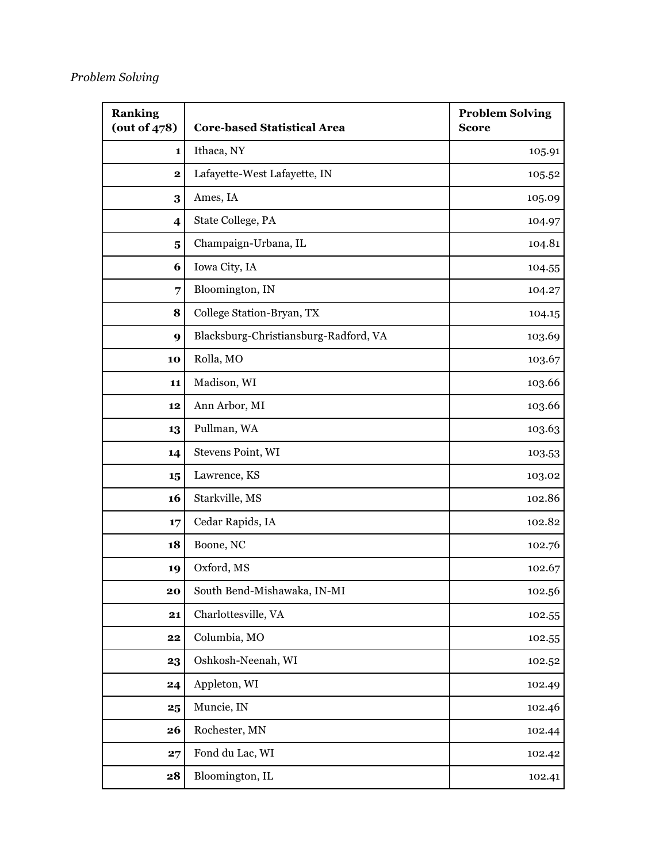#### *Problem Solving*

| <b>Ranking</b><br>(out of $478$ ) | <b>Core-based Statistical Area</b>    | <b>Problem Solving</b><br><b>Score</b> |
|-----------------------------------|---------------------------------------|----------------------------------------|
| 1                                 | Ithaca, NY                            | 105.91                                 |
| $\mathbf{2}$                      | Lafayette-West Lafayette, IN          | 105.52                                 |
| 3                                 | Ames, IA                              | 105.09                                 |
| 4                                 | State College, PA                     | 104.97                                 |
| $\overline{\mathbf{5}}$           | Champaign-Urbana, IL                  | 104.81                                 |
| 6                                 | Iowa City, IA                         | 104.55                                 |
| 7                                 | Bloomington, IN                       | 104.27                                 |
| 8                                 | College Station-Bryan, TX             | 104.15                                 |
| 9                                 | Blacksburg-Christiansburg-Radford, VA | 103.69                                 |
| 10                                | Rolla, MO                             | 103.67                                 |
| 11                                | Madison, WI                           | 103.66                                 |
| 12                                | Ann Arbor, MI                         | 103.66                                 |
| 13                                | Pullman, WA                           | 103.63                                 |
| 14                                | Stevens Point, WI                     | 103.53                                 |
| 15                                | Lawrence, KS                          | 103.02                                 |
| 16                                | Starkville, MS                        | 102.86                                 |
| 17                                | Cedar Rapids, IA                      | 102.82                                 |
| 18                                | Boone, NC                             | 102.76                                 |
| 19                                | Oxford, MS                            | 102.67                                 |
| 20                                | South Bend-Mishawaka, IN-MI           | 102.56                                 |
| 21                                | Charlottesville, VA                   | 102.55                                 |
| 22                                | Columbia, MO                          | 102.55                                 |
| 23                                | Oshkosh-Neenah, WI                    | 102.52                                 |
| 24                                | Appleton, WI                          | 102.49                                 |
| 25                                | Muncie, IN                            | 102.46                                 |
| 26                                | Rochester, MN                         | 102.44                                 |
| 27                                | Fond du Lac, WI                       | 102.42                                 |
| 28                                | Bloomington, IL                       | 102.41                                 |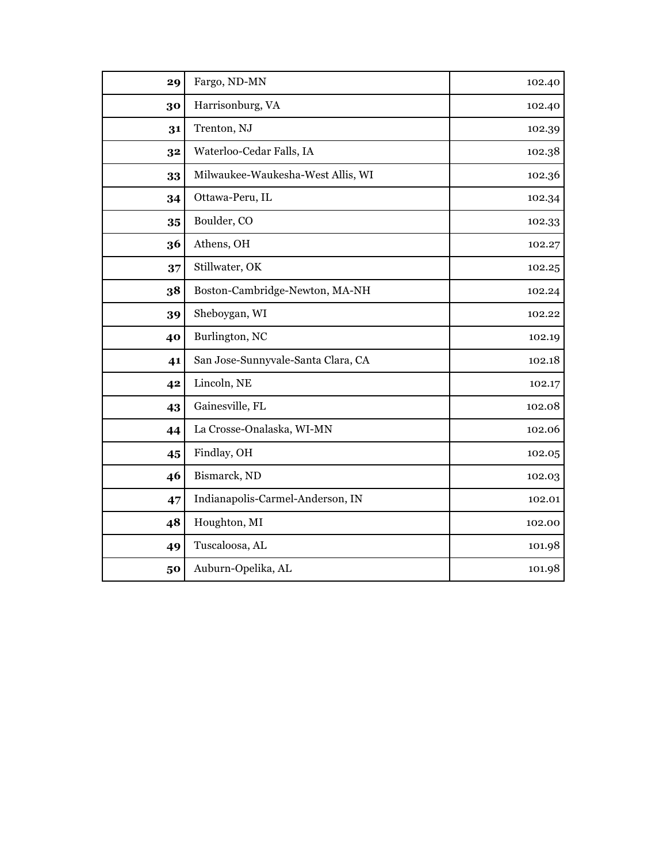| 29 | Fargo, ND-MN                       | 102.40 |
|----|------------------------------------|--------|
| 30 | Harrisonburg, VA                   | 102.40 |
| 31 | Trenton, NJ                        | 102.39 |
| 32 | Waterloo-Cedar Falls, IA           | 102.38 |
| 33 | Milwaukee-Waukesha-West Allis, WI  | 102.36 |
| 34 | Ottawa-Peru, IL                    | 102.34 |
| 35 | Boulder, CO                        | 102.33 |
| 36 | Athens, OH                         | 102.27 |
| 37 | Stillwater, OK                     | 102.25 |
| 38 | Boston-Cambridge-Newton, MA-NH     | 102.24 |
| 39 | Sheboygan, WI                      | 102.22 |
| 40 | Burlington, NC                     | 102.19 |
| 41 | San Jose-Sunnyvale-Santa Clara, CA | 102.18 |
| 42 | Lincoln, NE                        | 102.17 |
| 43 | Gainesville, FL                    | 102.08 |
| 44 | La Crosse-Onalaska, WI-MN          | 102.06 |
| 45 | Findlay, OH                        | 102.05 |
| 46 | Bismarck, ND                       | 102.03 |
| 47 | Indianapolis-Carmel-Anderson, IN   | 102.01 |
| 48 | Houghton, MI                       | 102.00 |
| 49 | Tuscaloosa, AL                     | 101.98 |
| 50 | Auburn-Opelika, AL                 | 101.98 |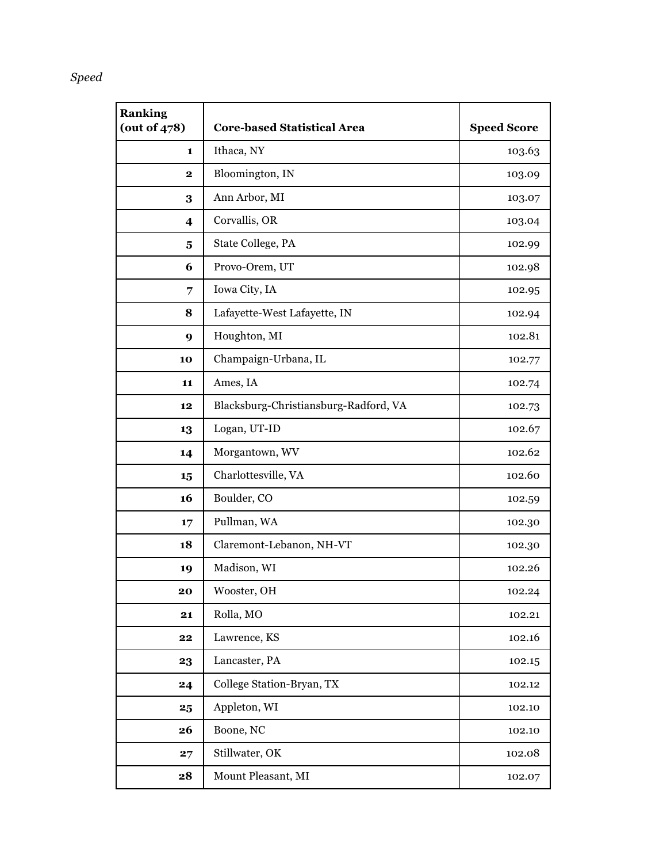## *Speed*

| <b>Ranking</b><br>(out of 478) | <b>Core-based Statistical Area</b>    | <b>Speed Score</b> |
|--------------------------------|---------------------------------------|--------------------|
| 1                              | Ithaca, NY                            | 103.63             |
| $\mathbf 2$                    | Bloomington, IN                       | 103.09             |
| 3                              | Ann Arbor, MI                         | 103.07             |
| $\overline{\mathbf{4}}$        | Corvallis, OR                         | 103.04             |
| 5                              | State College, PA                     | 102.99             |
| 6                              | Provo-Orem, UT                        | 102.98             |
| 7                              | Iowa City, IA                         | 102.95             |
| 8                              | Lafayette-West Lafayette, IN          | 102.94             |
| 9                              | Houghton, MI                          | 102.81             |
| 10                             | Champaign-Urbana, IL                  | 102.77             |
| 11                             | Ames, IA                              | 102.74             |
| 12                             | Blacksburg-Christiansburg-Radford, VA | 102.73             |
| 13                             | Logan, UT-ID                          | 102.67             |
| 14                             | Morgantown, WV                        | 102.62             |
| 15                             | Charlottesville, VA                   | 102.60             |
| 16                             | Boulder, CO                           | 102.59             |
| 17                             | Pullman, WA                           | 102.30             |
| 18                             | Claremont-Lebanon, NH-VT              | 102.30             |
| 19                             | Madison, WI                           | 102.26             |
| 20                             | Wooster, OH                           | 102.24             |
| 21                             | Rolla, MO                             | 102.21             |
| 22                             | Lawrence, KS                          | 102.16             |
| 23                             | Lancaster, PA                         | 102.15             |
| 24                             | College Station-Bryan, TX             | 102.12             |
| 25                             | Appleton, WI                          | 102.10             |
| 26                             | Boone, NC                             | 102.10             |
| 27                             | Stillwater, OK                        | 102.08             |
| 28                             | Mount Pleasant, MI                    | 102.07             |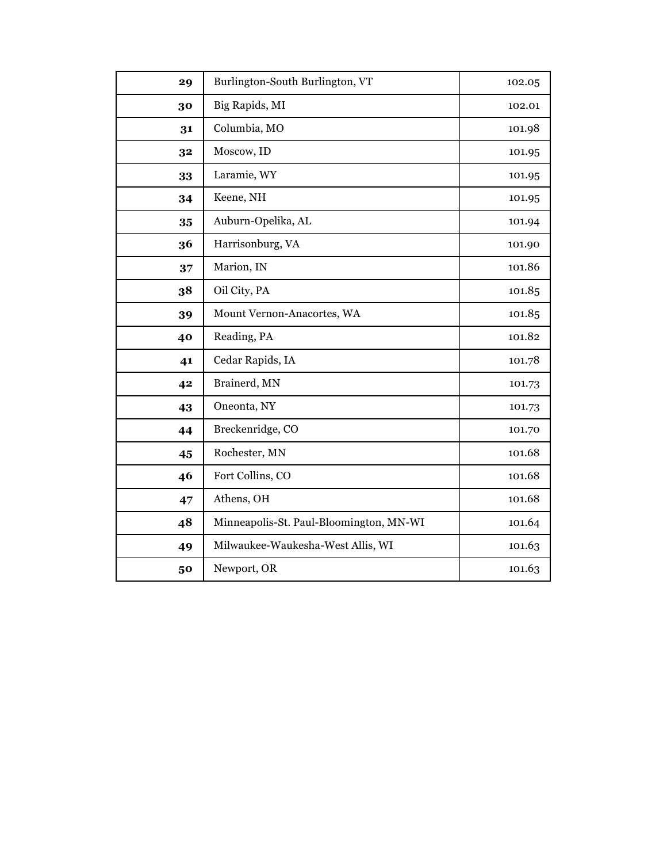| 29 | Burlington-South Burlington, VT         | 102.05 |
|----|-----------------------------------------|--------|
| 30 | Big Rapids, MI                          | 102.01 |
| 31 | Columbia, MO                            | 101.98 |
| 32 | Moscow, ID                              | 101.95 |
| 33 | Laramie, WY                             | 101.95 |
| 34 | Keene, NH                               | 101.95 |
| 35 | Auburn-Opelika, AL                      | 101.94 |
| 36 | Harrisonburg, VA                        | 101.90 |
| 37 | Marion, IN                              | 101.86 |
| 38 | Oil City, PA                            | 101.85 |
| 39 | Mount Vernon-Anacortes, WA              | 101.85 |
| 40 | Reading, PA                             | 101.82 |
| 41 | Cedar Rapids, IA                        | 101.78 |
| 42 | Brainerd, MN                            | 101.73 |
| 43 | Oneonta, NY                             | 101.73 |
| 44 | Breckenridge, CO                        | 101.70 |
| 45 | Rochester, MN                           | 101.68 |
| 46 | Fort Collins, CO                        | 101.68 |
| 47 | Athens, OH                              | 101.68 |
| 48 | Minneapolis-St. Paul-Bloomington, MN-WI | 101.64 |
| 49 | Milwaukee-Waukesha-West Allis, WI       | 101.63 |
| 50 | Newport, OR                             | 101.63 |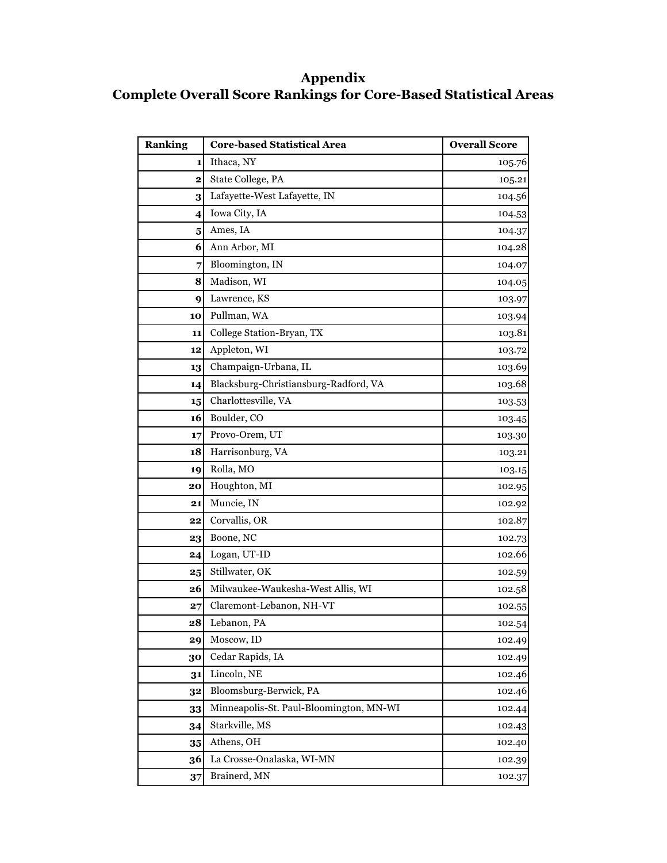## **Appendix Complete Overall Score Rankings for Core-Based Statistical Areas**

| <b>Ranking</b>          | <b>Core-based Statistical Area</b>      | <b>Overall Score</b> |
|-------------------------|-----------------------------------------|----------------------|
| 1                       | Ithaca, NY                              | 105.76               |
| $\overline{\mathbf{2}}$ | State College, PA                       | 105.21               |
| 3                       | Lafayette-West Lafayette, IN            | 104.56               |
| 4                       | Iowa City, IA                           | 104.53               |
| 5                       | Ames, IA                                | 104.37               |
| 6                       | Ann Arbor, MI                           | 104.28               |
| 7                       | Bloomington, IN                         | 104.07               |
| 8                       | Madison, WI                             | 104.05               |
| 9                       | Lawrence, KS                            | 103.97               |
| 10                      | Pullman, WA                             | 103.94               |
| 11                      | College Station-Bryan, TX               | 103.81               |
| 12                      | Appleton, WI                            | 103.72               |
| 13                      | Champaign-Urbana, IL                    | 103.69               |
| 14                      | Blacksburg-Christiansburg-Radford, VA   | 103.68               |
| 15                      | Charlottesville, VA                     | 103.53               |
| 16                      | Boulder, CO                             | 103.45               |
| 17                      | Provo-Orem, UT                          | 103.30               |
| 18                      | Harrisonburg, VA                        | 103.21               |
| 19                      | Rolla, MO                               | 103.15               |
| 20                      | Houghton, MI                            | 102.95               |
| 21                      | Muncie, IN                              | 102.92               |
| 22                      | Corvallis, OR                           | 102.87               |
| 23                      | Boone, NC                               | 102.73               |
| 24                      | Logan, UT-ID                            | 102.66               |
| 25                      | Stillwater, OK                          | 102.59               |
| 26                      | Milwaukee-Waukesha-West Allis, WI       | 102.58               |
| 27                      | Claremont-Lebanon, NH-VT                | 102.55               |
| 28                      | Lebanon, PA                             | 102.54               |
| 29                      | Moscow, ID                              | 102.49               |
| 30                      | Cedar Rapids, IA                        | 102.49               |
| 31                      | Lincoln, NE                             | 102.46               |
| 32                      | Bloomsburg-Berwick, PA                  | 102.46               |
| 33                      | Minneapolis-St. Paul-Bloomington, MN-WI | 102.44               |
| 34                      | Starkville, MS                          | 102.43               |
| 35                      | Athens, OH                              | 102.40               |
| 36                      | La Crosse-Onalaska, WI-MN               | 102.39               |
| 37                      | Brainerd, MN                            | 102.37               |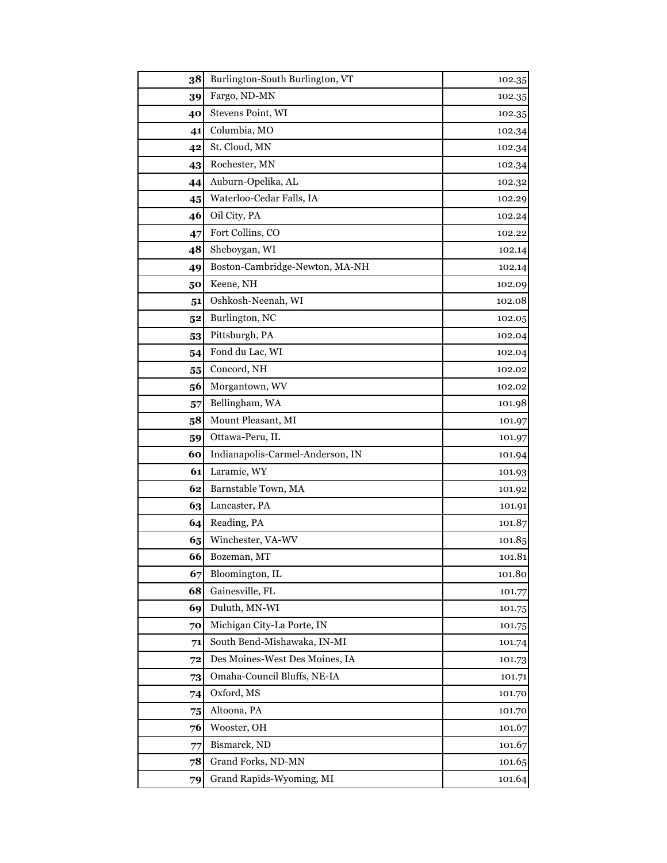| 38             | Burlington-South Burlington, VT  | 102.35 |
|----------------|----------------------------------|--------|
| 39             | Fargo, ND-MN                     | 102.35 |
| 40             | Stevens Point, WI                | 102.35 |
| 41             | Columbia, MO                     | 102.34 |
| 42             | St. Cloud, MN                    | 102.34 |
| 43             | Rochester, MN                    | 102.34 |
| 44             | Auburn-Opelika, AL               | 102.32 |
| 45             | Waterloo-Cedar Falls, IA         | 102.29 |
| 46             | Oil City, PA                     | 102.24 |
| 47             | Fort Collins, CO                 | 102.22 |
| 48             | Sheboygan, WI                    | 102.14 |
| 49             | Boston-Cambridge-Newton, MA-NH   | 102.14 |
| 50             | Keene, NH                        | 102.09 |
| 51             | Oshkosh-Neenah, WI               | 102.08 |
| 5 <sup>2</sup> | Burlington, NC                   | 102.05 |
| 53             | Pittsburgh, PA                   | 102.04 |
| 54             | Fond du Lac, WI                  | 102.04 |
| 55             | Concord, NH                      | 102.02 |
| 56             | Morgantown, WV                   | 102.02 |
| 57             | Bellingham, WA                   | 101.98 |
| 58             | Mount Pleasant, MI               | 101.97 |
| 59             | Ottawa-Peru, IL                  | 101.97 |
| 60             | Indianapolis-Carmel-Anderson, IN | 101.94 |
| 61             | Laramie, WY                      | 101.93 |
| 62             | Barnstable Town, MA              | 101.92 |
| 63             | Lancaster, PA                    | 101.91 |
| 64             | Reading, PA                      | 101.87 |
| 65             | Winchester, VA-WV                | 101.85 |
| 66             | Bozeman, MT                      | 101.81 |
| 67             | Bloomington, IL                  | 101.80 |
| 68             | Gainesville, FL                  | 101.77 |
| 69             | Duluth, MN-WI                    | 101.75 |
| 70             | Michigan City-La Porte, IN       | 101.75 |
| 71             | South Bend-Mishawaka, IN-MI      | 101.74 |
| 72             | Des Moines-West Des Moines, IA   | 101.73 |
| 73             | Omaha-Council Bluffs, NE-IA      | 101.71 |
| 74             | Oxford, MS                       | 101.70 |
| 75             | Altoona, PA                      | 101.70 |
| 76             | Wooster, OH                      | 101.67 |
| 77             | Bismarck, ND                     | 101.67 |
| 78             | Grand Forks, ND-MN               | 101.65 |
| 79             | Grand Rapids-Wyoming, MI         | 101.64 |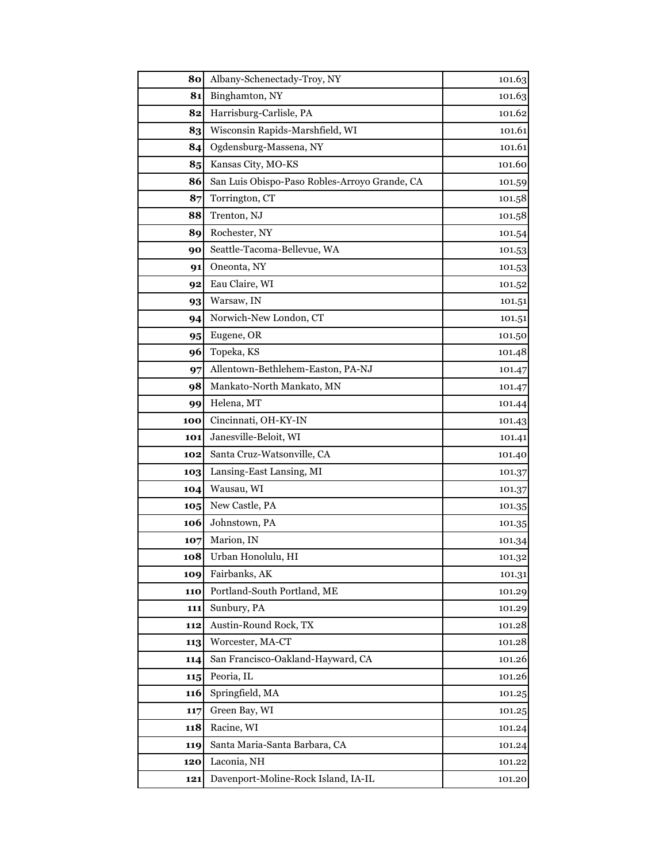| 80  | Albany-Schenectady-Troy, NY                   | 101.63 |
|-----|-----------------------------------------------|--------|
| 81  | Binghamton, NY                                | 101.63 |
| 82  | Harrisburg-Carlisle, PA                       | 101.62 |
| 83  | Wisconsin Rapids-Marshfield, WI               | 101.61 |
| 84  | Ogdensburg-Massena, NY                        | 101.61 |
| 85  | Kansas City, MO-KS                            | 101.60 |
| 86  | San Luis Obispo-Paso Robles-Arroyo Grande, CA | 101.59 |
| 87  | Torrington, CT                                | 101.58 |
| 88  | Trenton, NJ                                   | 101.58 |
| 89  | Rochester, NY                                 | 101.54 |
| 90  | Seattle-Tacoma-Bellevue, WA                   | 101.53 |
| 91  | Oneonta, NY                                   | 101.53 |
| 92  | Eau Claire, WI                                | 101.52 |
| 93  | Warsaw, IN                                    | 101.51 |
| 94  | Norwich-New London, CT                        | 101.51 |
| 95  | Eugene, OR                                    | 101.50 |
| 96  | Topeka, KS                                    | 101.48 |
| 97  | Allentown-Bethlehem-Easton, PA-NJ             | 101.47 |
| 98  | Mankato-North Mankato, MN                     | 101.47 |
| 99  | Helena, MT                                    | 101.44 |
| 100 | Cincinnati, OH-KY-IN                          | 101.43 |
| 101 | Janesville-Beloit, WI                         | 101.41 |
| 102 | Santa Cruz-Watsonville, CA                    | 101.40 |
| 103 | Lansing-East Lansing, MI                      | 101.37 |
| 104 | Wausau, WI                                    | 101.37 |
| 105 | New Castle, PA                                | 101.35 |
| 106 | Johnstown, PA                                 | 101.35 |
| 107 | Marion, IN                                    | 101.34 |
| 108 | Urban Honolulu, HI                            | 101.32 |
| 109 | Fairbanks, AK                                 | 101.31 |
| 110 | Portland-South Portland, ME                   | 101.29 |
| 111 | Sunbury, PA                                   | 101.29 |
| 112 | Austin-Round Rock, TX                         | 101.28 |
| 113 | Worcester, MA-CT                              | 101.28 |
| 114 | San Francisco-Oakland-Hayward, CA             | 101.26 |
| 115 | Peoria, IL                                    | 101.26 |
| 116 | Springfield, MA                               | 101.25 |
| 117 | Green Bay, WI                                 | 101.25 |
| 118 | Racine, WI                                    | 101.24 |
| 119 | Santa Maria-Santa Barbara, CA                 | 101.24 |
| 120 | Laconia, NH                                   | 101.22 |
| 121 | Davenport-Moline-Rock Island, IA-IL           | 101.20 |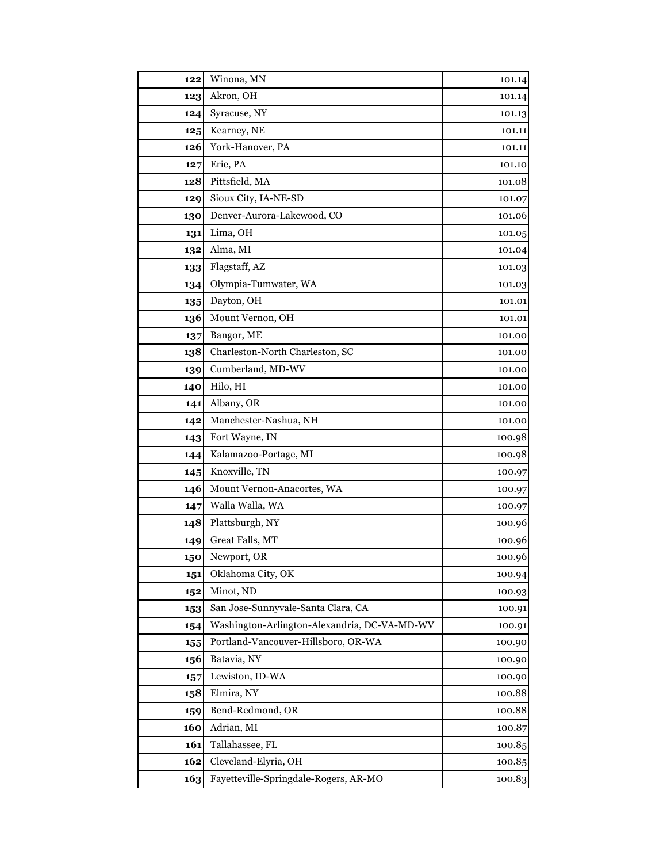| 122 | Winona, MN                                   | 101.14 |
|-----|----------------------------------------------|--------|
| 123 | Akron, OH                                    | 101.14 |
| 124 | Syracuse, NY                                 | 101.13 |
| 125 | Kearney, NE                                  | 101.11 |
| 126 | York-Hanover, PA                             | 101.11 |
| 127 | Erie, PA                                     | 101.10 |
| 128 | Pittsfield, MA                               | 101.08 |
| 129 | Sioux City, IA-NE-SD                         | 101.07 |
| 130 | Denver-Aurora-Lakewood, CO                   | 101.06 |
| 131 | Lima, OH                                     | 101.05 |
| 132 | Alma, MI                                     | 101.04 |
| 133 | Flagstaff, AZ                                | 101.03 |
| 134 | Olympia-Tumwater, WA                         | 101.03 |
| 135 | Dayton, OH                                   | 101.01 |
| 136 | Mount Vernon, OH                             | 101.01 |
| 137 | Bangor, ME                                   | 101.00 |
| 138 | Charleston-North Charleston, SC              | 101.00 |
| 139 | Cumberland, MD-WV                            | 101.00 |
| 140 | Hilo, HI                                     | 101.00 |
| 141 | Albany, OR                                   | 101.00 |
| 142 | Manchester-Nashua, NH                        | 101.00 |
| 143 | Fort Wayne, IN                               | 100.98 |
| 144 | Kalamazoo-Portage, MI                        | 100.98 |
| 145 | Knoxville, TN                                | 100.97 |
| 146 | Mount Vernon-Anacortes, WA                   | 100.97 |
| 147 | Walla Walla, WA                              | 100.97 |
| 148 | Plattsburgh, NY                              | 100.96 |
| 149 | Great Falls, MT                              | 100.96 |
| 150 | Newport, OR                                  | 100.96 |
| 151 | Oklahoma City, OK                            | 100.94 |
| 152 | Minot, ND                                    | 100.93 |
| 153 | San Jose-Sunnyvale-Santa Clara, CA           | 100.91 |
| 154 | Washington-Arlington-Alexandria, DC-VA-MD-WV | 100.91 |
| 155 | Portland-Vancouver-Hillsboro, OR-WA          | 100.90 |
| 156 | Batavia, NY                                  | 100.90 |
| 157 | Lewiston, ID-WA                              | 100.90 |
| 158 | Elmira, NY                                   | 100.88 |
| 159 | Bend-Redmond, OR                             | 100.88 |
| 160 | Adrian, MI                                   | 100.87 |
| 161 | Tallahassee, FL                              | 100.85 |
| 162 | Cleveland-Elyria, OH                         | 100.85 |
| 163 | Fayetteville-Springdale-Rogers, AR-MO        | 100.83 |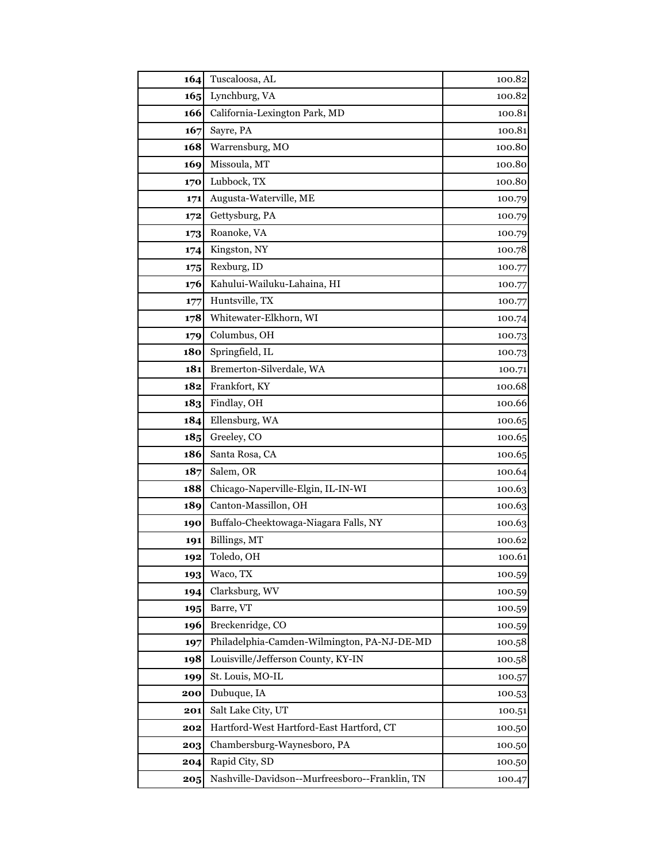| 164        | Tuscaloosa, AL                                 | 100.82 |
|------------|------------------------------------------------|--------|
| 165        | Lynchburg, VA                                  | 100.82 |
| 166        | California-Lexington Park, MD                  | 100.81 |
| 167        | Sayre, PA                                      | 100.81 |
| 168        | Warrensburg, MO                                | 100.80 |
| 169        | Missoula, MT                                   | 100.80 |
| 170        | Lubbock, TX                                    | 100.80 |
| 171        | Augusta-Waterville, ME                         | 100.79 |
| 172        | Gettysburg, PA                                 | 100.79 |
| 173        | Roanoke, VA                                    | 100.79 |
| 174        | Kingston, NY                                   | 100.78 |
| 175        | Rexburg, ID                                    | 100.77 |
| 176        | Kahului-Wailuku-Lahaina, HI                    | 100.77 |
| 177        | Huntsville, TX                                 | 100.77 |
| 178        | Whitewater-Elkhorn, WI                         | 100.74 |
| 179        | Columbus, OH                                   | 100.73 |
| <b>180</b> | Springfield, IL                                | 100.73 |
| 181        | Bremerton-Silverdale, WA                       | 100.71 |
| 182        | Frankfort, KY                                  | 100.68 |
| 183        | Findlay, OH                                    | 100.66 |
| 184        | Ellensburg, WA                                 | 100.65 |
| 185        | Greeley, CO                                    | 100.65 |
| 186        | Santa Rosa, CA                                 | 100.65 |
| 187        | Salem, OR                                      | 100.64 |
| 188        | Chicago-Naperville-Elgin, IL-IN-WI             | 100.63 |
| 189        | Canton-Massillon, OH                           | 100.63 |
| 190        | Buffalo-Cheektowaga-Niagara Falls, NY          | 100.63 |
| 191        | Billings, MT                                   | 100.62 |
| 192        | Toledo, OH                                     | 100.61 |
| 193        | Waco, TX                                       | 100.59 |
| 194        | Clarksburg, WV                                 | 100.59 |
| 195        | Barre, VT                                      | 100.59 |
| 196        | Breckenridge, CO                               | 100.59 |
| 197        | Philadelphia-Camden-Wilmington, PA-NJ-DE-MD    | 100.58 |
| 198        | Louisville/Jefferson County, KY-IN             | 100.58 |
| 199        | St. Louis, MO-IL                               | 100.57 |
| 200        | Dubuque, IA                                    | 100.53 |
| 201        | Salt Lake City, UT                             | 100.51 |
| 202        | Hartford-West Hartford-East Hartford, CT       | 100.50 |
| 203        | Chambersburg-Waynesboro, PA                    | 100.50 |
| 204        | Rapid City, SD                                 | 100.50 |
| 205        | Nashville-Davidson--Murfreesboro--Franklin, TN | 100.47 |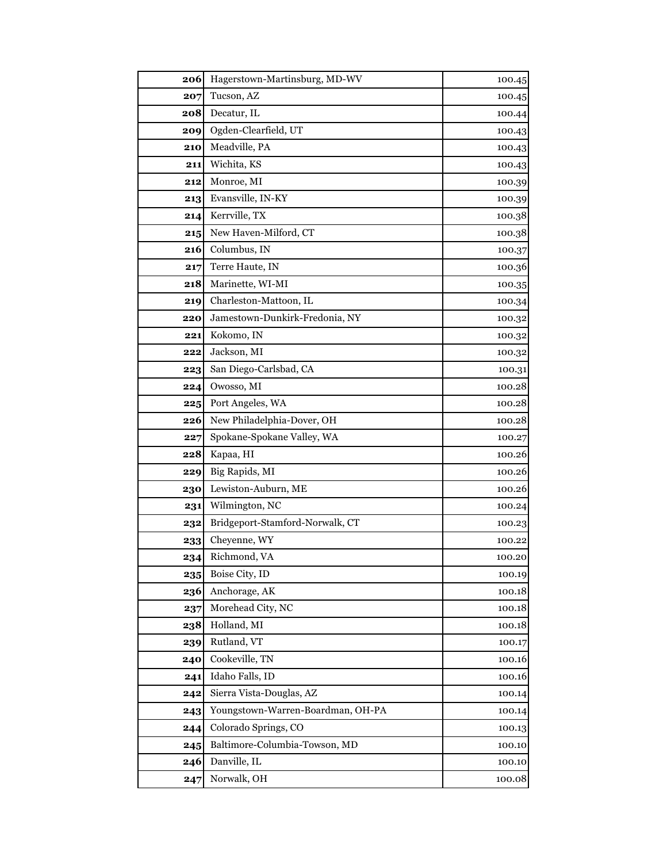| 206 | Hagerstown-Martinsburg, MD-WV     | 100.45 |
|-----|-----------------------------------|--------|
| 207 | Tucson, AZ                        | 100.45 |
| 208 | Decatur, IL                       | 100.44 |
| 209 | Ogden-Clearfield, UT              | 100.43 |
| 210 | Meadville, PA                     | 100.43 |
| 211 | Wichita, KS                       | 100.43 |
| 212 | Monroe, MI                        | 100.39 |
| 213 | Evansville, IN-KY                 | 100.39 |
| 214 | Kerrville, TX                     | 100.38 |
| 215 | New Haven-Milford, CT             | 100.38 |
| 216 | Columbus, IN                      | 100.37 |
| 217 | Terre Haute, IN                   | 100.36 |
| 218 | Marinette, WI-MI                  | 100.35 |
| 219 | Charleston-Mattoon, IL            | 100.34 |
| 220 | Jamestown-Dunkirk-Fredonia, NY    | 100.32 |
| 221 | Kokomo, IN                        | 100.32 |
| 222 | Jackson, MI                       | 100.32 |
| 223 | San Diego-Carlsbad, CA            | 100.31 |
| 224 | Owosso, MI                        | 100.28 |
| 225 | Port Angeles, WA                  | 100.28 |
| 226 | New Philadelphia-Dover, OH        | 100.28 |
| 227 | Spokane-Spokane Valley, WA        | 100.27 |
| 228 | Kapaa, HI                         | 100.26 |
| 229 | Big Rapids, MI                    | 100.26 |
| 230 | Lewiston-Auburn, ME               | 100.26 |
| 231 | Wilmington, NC                    | 100.24 |
| 232 | Bridgeport-Stamford-Norwalk, CT   | 100.23 |
| 233 | Cheyenne, WY                      | 100.22 |
| 234 | Richmond, VA                      | 100.20 |
| 235 | Boise City, ID                    | 100.19 |
| 236 | Anchorage, AK                     | 100.18 |
| 237 | Morehead City, NC                 | 100.18 |
| 238 | Holland, MI                       | 100.18 |
| 239 | Rutland, VT                       | 100.17 |
| 240 | Cookeville, TN                    | 100.16 |
| 241 | Idaho Falls, ID                   | 100.16 |
| 242 | Sierra Vista-Douglas, AZ          | 100.14 |
| 243 | Youngstown-Warren-Boardman, OH-PA | 100.14 |
| 244 | Colorado Springs, CO              | 100.13 |
| 245 | Baltimore-Columbia-Towson, MD     | 100.10 |
| 246 | Danville, IL                      | 100.10 |
| 247 | Norwalk, OH                       | 100.08 |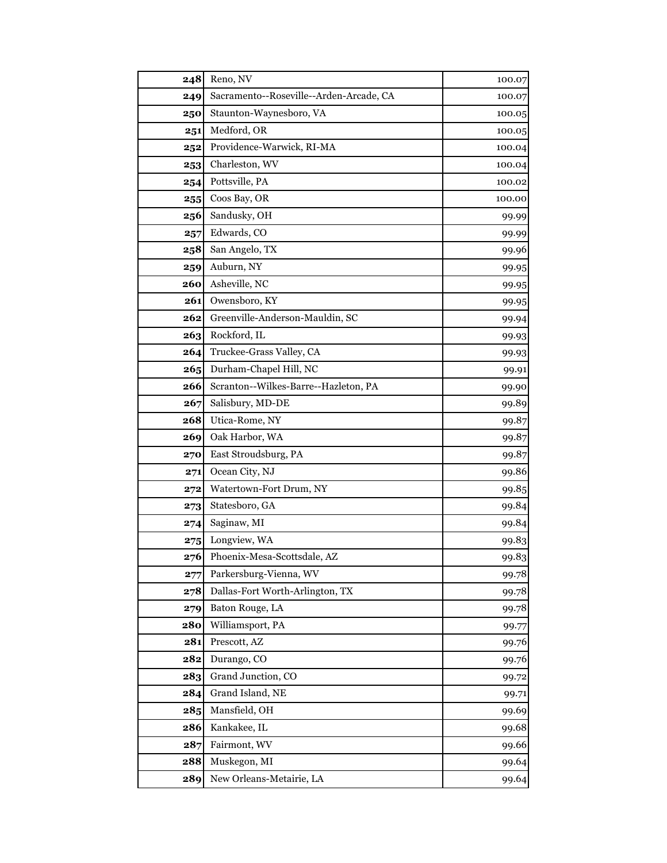|            | Reno, NV                                |                  |
|------------|-----------------------------------------|------------------|
| 248<br>249 | Sacramento--Roseville--Arden-Arcade, CA | 100.07<br>100.07 |
| 250        | Staunton-Waynesboro, VA                 | 100.05           |
| 251        | Medford, OR                             | 100.05           |
| 252        | Providence-Warwick, RI-MA               | 100.04           |
| 253        | Charleston, WV                          | 100.04           |
| 254        | Pottsville, PA                          | 100.02           |
| 255        | Coos Bay, OR                            | 100.00           |
| 256        | Sandusky, OH                            | 99.99            |
| 257        | Edwards, CO                             | 99.99            |
| 258        | San Angelo, TX                          | 99.96            |
| 259        | Auburn, NY                              | 99.95            |
| 260        | Asheville, NC                           | 99.95            |
| 261        | Owensboro, KY                           | 99.95            |
| 262        | Greenville-Anderson-Mauldin, SC         | 99.94            |
| 263        | Rockford, IL                            | 99.93            |
| 264        | Truckee-Grass Valley, CA                | 99.93            |
| 265        | Durham-Chapel Hill, NC                  | 99.91            |
| 266        | Scranton--Wilkes-Barre--Hazleton, PA    | 99.90            |
| 267        | Salisbury, MD-DE                        | 99.89            |
| 268        | Utica-Rome, NY                          | 99.87            |
| 269        | Oak Harbor, WA                          | 99.87            |
| 270        | East Stroudsburg, PA                    | 99.87            |
| 271        | Ocean City, NJ                          | 99.86            |
| 272        | Watertown-Fort Drum, NY                 | 99.85            |
| 273        | Statesboro, GA                          | 99.84            |
| 274        | Saginaw, MI                             | 99.84            |
| 275        | Longview, WA                            | 99.83            |
| 276        | Phoenix-Mesa-Scottsdale, AZ             | 99.83            |
| 277        | Parkersburg-Vienna, WV                  | 99.78            |
| 278        | Dallas-Fort Worth-Arlington, TX         | 99.78            |
| 279        | Baton Rouge, LA                         | 99.78            |
| 280        | Williamsport, PA                        | 99.77            |
| 281        | Prescott, AZ                            | 99.76            |
| 282        | Durango, CO                             | 99.76            |
| 283        | Grand Junction, CO                      | 99.72            |
| 284        | Grand Island, NE                        | 99.71            |
| 285        | Mansfield, OH                           | 99.69            |
| 286        | Kankakee, IL                            | 99.68            |
| 287        | Fairmont, WV                            | 99.66            |
| 288        | Muskegon, MI                            | 99.64            |
| 289        | New Orleans-Metairie, LA                | 99.64            |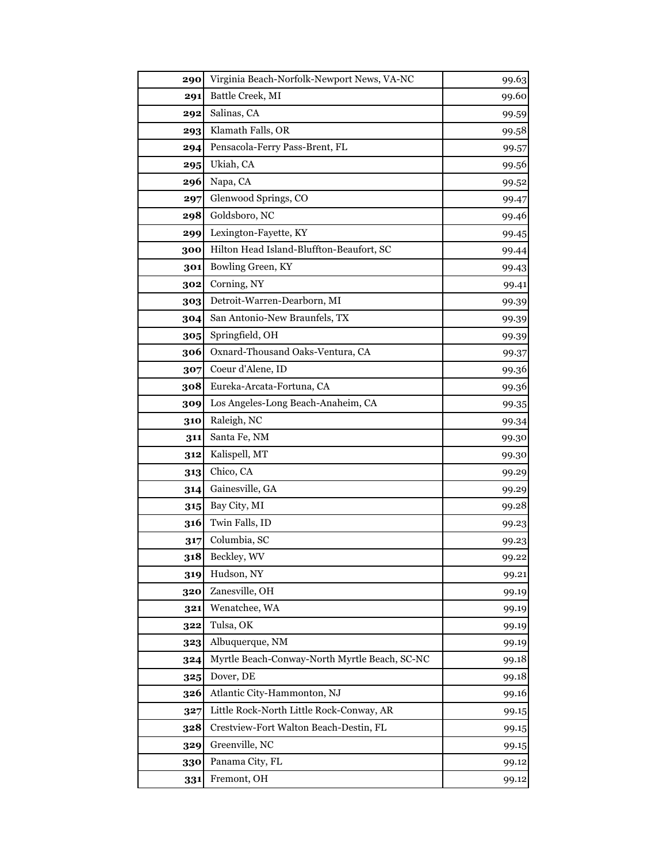| 290 | Virginia Beach-Norfolk-Newport News, VA-NC    | 99.63 |
|-----|-----------------------------------------------|-------|
| 291 | Battle Creek, MI                              | 99.60 |
| 292 | Salinas, CA                                   | 99.59 |
| 293 | Klamath Falls, OR                             | 99.58 |
| 294 | Pensacola-Ferry Pass-Brent, FL                | 99.57 |
| 295 | Ukiah, CA                                     | 99.56 |
| 296 | Napa, CA                                      | 99.52 |
| 297 | Glenwood Springs, CO                          | 99.47 |
| 298 | Goldsboro, NC                                 | 99.46 |
| 299 | Lexington-Fayette, KY                         | 99.45 |
| 300 | Hilton Head Island-Bluffton-Beaufort, SC      | 99.44 |
| 301 | Bowling Green, KY                             | 99.43 |
| 302 | Corning, NY                                   | 99.41 |
| 303 | Detroit-Warren-Dearborn, MI                   | 99.39 |
| 304 | San Antonio-New Braunfels, TX                 | 99.39 |
| 305 | Springfield, OH                               | 99.39 |
| 306 | Oxnard-Thousand Oaks-Ventura, CA              | 99.37 |
| 307 | Coeur d'Alene, ID                             | 99.36 |
| 308 | Eureka-Arcata-Fortuna, CA                     | 99.36 |
| 309 | Los Angeles-Long Beach-Anaheim, CA            | 99.35 |
| 310 | Raleigh, NC                                   | 99.34 |
| 311 | Santa Fe, NM                                  | 99.30 |
| 312 | Kalispell, MT                                 | 99.30 |
| 313 | Chico, CA                                     | 99.29 |
| 314 | Gainesville, GA                               | 99.29 |
| 315 | Bay City, MI                                  | 99.28 |
| 316 | Twin Falls, ID                                | 99.23 |
| 317 | Columbia, SC                                  | 99.23 |
| 318 | Beckley, WV                                   | 99.22 |
| 319 | Hudson, NY                                    | 99.21 |
| 320 | Zanesville, OH                                | 99.19 |
| 321 | Wenatchee, WA                                 | 99.19 |
| 322 | Tulsa, OK                                     | 99.19 |
| 323 | Albuquerque, NM                               | 99.19 |
| 324 | Myrtle Beach-Conway-North Myrtle Beach, SC-NC | 99.18 |
| 325 | Dover, DE                                     | 99.18 |
| 326 | Atlantic City-Hammonton, NJ                   | 99.16 |
| 327 | Little Rock-North Little Rock-Conway, AR      | 99.15 |
| 328 | Crestview-Fort Walton Beach-Destin, FL        | 99.15 |
| 329 | Greenville, NC                                | 99.15 |
| 330 | Panama City, FL                               | 99.12 |
| 331 | Fremont, OH                                   | 99.12 |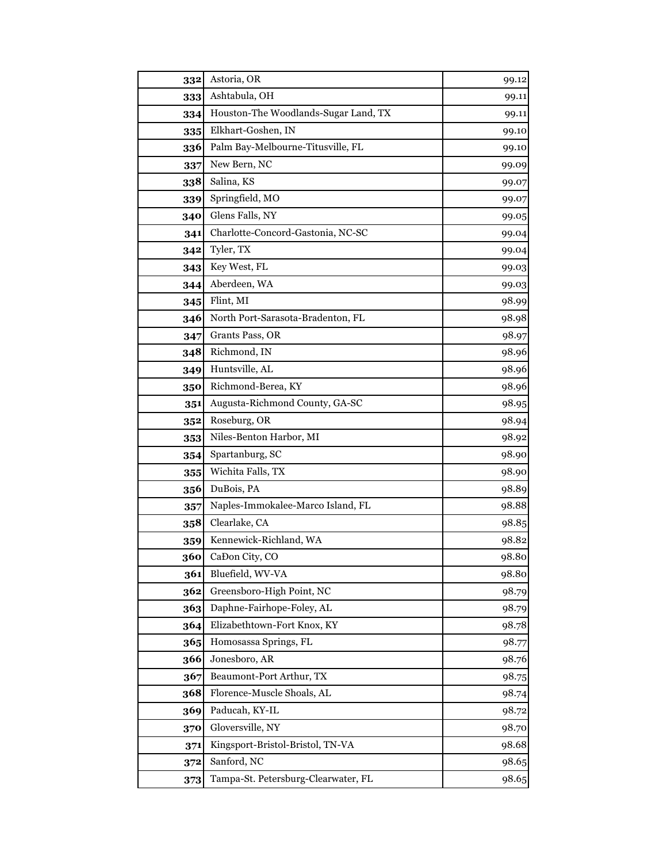| 332 | Astoria, OR                          | 99.12 |
|-----|--------------------------------------|-------|
| 333 | Ashtabula, OH                        | 99.11 |
| 334 | Houston-The Woodlands-Sugar Land, TX | 99.11 |
| 335 | Elkhart-Goshen, IN                   | 99.10 |
| 336 | Palm Bay-Melbourne-Titusville, FL    | 99.10 |
| 337 | New Bern, NC                         | 99.09 |
| 338 | Salina, KS                           | 99.07 |
| 339 | Springfield, MO                      | 99.07 |
| 340 | Glens Falls, NY                      | 99.05 |
| 341 | Charlotte-Concord-Gastonia, NC-SC    | 99.04 |
| 342 | Tyler, TX                            | 99.04 |
| 343 | Key West, FL                         | 99.03 |
| 344 | Aberdeen, WA                         | 99.03 |
| 345 | Flint, MI                            | 98.99 |
| 346 | North Port-Sarasota-Bradenton, FL    | 98.98 |
| 347 | Grants Pass, OR                      | 98.97 |
| 348 | Richmond, IN                         | 98.96 |
| 349 | Huntsville, AL                       | 98.96 |
| 350 | Richmond-Berea, KY                   | 98.96 |
| 351 | Augusta-Richmond County, GA-SC       | 98.95 |
| 352 | Roseburg, OR                         | 98.94 |
| 353 | Niles-Benton Harbor, MI              | 98.92 |
| 354 | Spartanburg, SC                      | 98.90 |
| 355 | Wichita Falls, TX                    | 98.90 |
| 356 | DuBois, PA                           | 98.89 |
| 357 | Naples-Immokalee-Marco Island, FL    | 98.88 |
| 358 | Clearlake, CA                        | 98.85 |
| 359 | Kennewick-Richland, WA               | 98.82 |
| 360 | CaĐon City, CO                       | 98.80 |
| 361 | Bluefield, WV-VA                     | 98.80 |
| 362 | Greensboro-High Point, NC            | 98.79 |
| 363 | Daphne-Fairhope-Foley, AL            | 98.79 |
| 364 | Elizabethtown-Fort Knox, KY          | 98.78 |
| 365 | Homosassa Springs, FL                | 98.77 |
| 366 | Jonesboro, AR                        | 98.76 |
| 367 | Beaumont-Port Arthur, TX             | 98.75 |
| 368 | Florence-Muscle Shoals, AL           | 98.74 |
| 369 | Paducah, KY-IL                       | 98.72 |
| 370 | Gloversville, NY                     | 98.70 |
| 371 | Kingsport-Bristol-Bristol, TN-VA     | 98.68 |
| 372 | Sanford, NC                          | 98.65 |
| 373 | Tampa-St. Petersburg-Clearwater, FL  | 98.65 |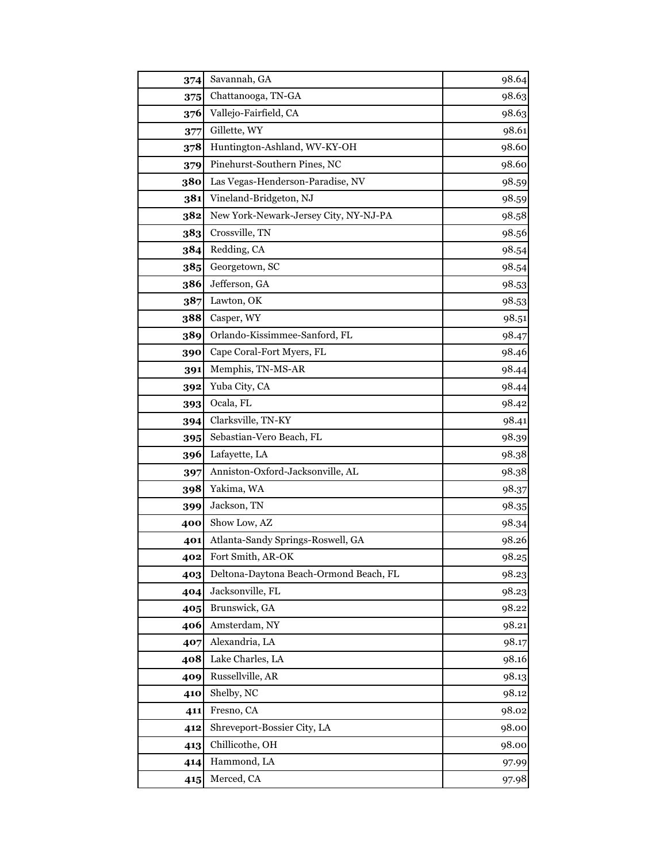| 374 | Savannah, GA                           | 98.64 |
|-----|----------------------------------------|-------|
| 375 | Chattanooga, TN-GA                     | 98.63 |
| 376 | Vallejo-Fairfield, CA                  | 98.63 |
| 377 | Gillette, WY                           | 98.61 |
| 378 | Huntington-Ashland, WV-KY-OH           | 98.60 |
| 379 | Pinehurst-Southern Pines, NC           | 98.60 |
| 380 | Las Vegas-Henderson-Paradise, NV       | 98.59 |
| 381 | Vineland-Bridgeton, NJ                 | 98.59 |
| 382 | New York-Newark-Jersey City, NY-NJ-PA  | 98.58 |
| 383 | Crossville, TN                         | 98.56 |
| 384 | Redding, CA                            | 98.54 |
| 385 | Georgetown, SC                         | 98.54 |
| 386 | Jefferson, GA                          | 98.53 |
| 387 | Lawton, OK                             | 98.53 |
| 388 | Casper, WY                             | 98.51 |
| 389 | Orlando-Kissimmee-Sanford, FL          | 98.47 |
| 390 | Cape Coral-Fort Myers, FL              | 98.46 |
| 391 | Memphis, TN-MS-AR                      | 98.44 |
| 392 | Yuba City, CA                          | 98.44 |
| 393 | Ocala, FL                              | 98.42 |
| 394 | Clarksville, TN-KY                     | 98.41 |
| 395 | Sebastian-Vero Beach, FL               | 98.39 |
| 396 | Lafayette, LA                          | 98.38 |
| 397 | Anniston-Oxford-Jacksonville, AL       | 98.38 |
| 398 | Yakima, WA                             | 98.37 |
| 399 | Jackson, TN                            | 98.35 |
| 400 | Show Low, AZ                           | 98.34 |
| 401 | Atlanta-Sandy Springs-Roswell, GA      | 98.26 |
| 402 | Fort Smith, AR-OK                      | 98.25 |
| 403 | Deltona-Daytona Beach-Ormond Beach, FL | 98.23 |
| 404 | Jacksonville, FL                       | 98.23 |
| 405 | Brunswick, GA                          | 98.22 |
| 406 | Amsterdam, NY                          | 98.21 |
| 407 | Alexandria, LA                         | 98.17 |
| 408 | Lake Charles, LA                       | 98.16 |
| 409 | Russellville, AR                       | 98.13 |
| 410 | Shelby, NC                             | 98.12 |
| 411 | Fresno, CA                             | 98.02 |
| 412 | Shreveport-Bossier City, LA            | 98.00 |
| 413 | Chillicothe, OH                        | 98.00 |
| 414 | Hammond, LA                            | 97.99 |
| 415 | Merced, CA                             | 97.98 |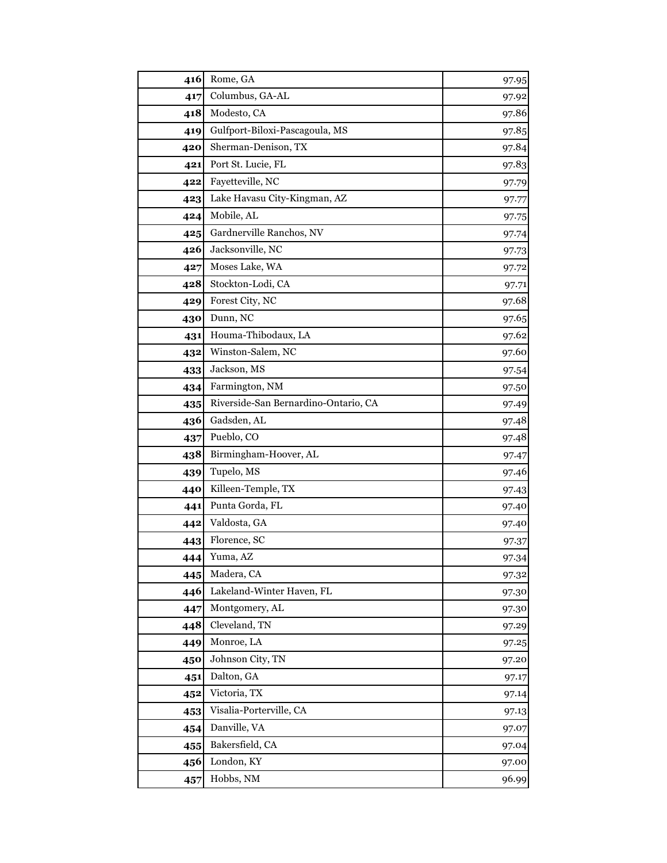| 416 | Rome, GA                             | 97.95 |
|-----|--------------------------------------|-------|
| 417 | Columbus, GA-AL                      | 97.92 |
| 418 | Modesto, CA                          | 97.86 |
| 419 | Gulfport-Biloxi-Pascagoula, MS       | 97.85 |
| 420 | Sherman-Denison, TX                  | 97.84 |
| 421 | Port St. Lucie, FL                   | 97.83 |
| 422 | Fayetteville, NC                     | 97.79 |
| 423 | Lake Havasu City-Kingman, AZ         | 97.77 |
| 424 | Mobile, AL                           | 97.75 |
| 425 | Gardnerville Ranchos, NV             | 97.74 |
| 426 | Jacksonville, NC                     | 97.73 |
| 427 | Moses Lake, WA                       | 97.72 |
| 428 | Stockton-Lodi, CA                    | 97.71 |
| 429 | Forest City, NC                      | 97.68 |
| 430 | Dunn, NC                             | 97.65 |
| 431 | Houma-Thibodaux, LA                  | 97.62 |
| 432 | Winston-Salem, NC                    | 97.60 |
| 433 | Jackson, MS                          | 97.54 |
| 434 | Farmington, NM                       | 97.50 |
| 435 | Riverside-San Bernardino-Ontario, CA | 97.49 |
| 436 | Gadsden, AL                          | 97.48 |
| 437 | Pueblo, CO                           | 97.48 |
| 438 | Birmingham-Hoover, AL                | 97.47 |
| 439 | Tupelo, MS                           | 97.46 |
| 440 | Killeen-Temple, TX                   | 97.43 |
| 441 | Punta Gorda, FL                      | 97.40 |
| 442 | Valdosta, GA                         | 97.40 |
| 443 | Florence, SC                         | 97.37 |
| 444 | Yuma, AZ                             | 97.34 |
| 445 | Madera, CA                           | 97.32 |
| 446 | Lakeland-Winter Haven, FL            | 97.30 |
| 447 | Montgomery, AL                       | 97.30 |
| 448 | Cleveland, TN                        | 97.29 |
| 449 | Monroe, LA                           | 97.25 |
| 450 | Johnson City, TN                     | 97.20 |
| 451 | Dalton, GA                           | 97.17 |
| 452 | Victoria, TX                         | 97.14 |
| 453 | Visalia-Porterville, CA              | 97.13 |
| 454 | Danville, VA                         | 97.07 |
| 455 | Bakersfield, CA                      | 97.04 |
| 456 | London, KY                           | 97.00 |
| 457 | Hobbs, NM                            | 96.99 |